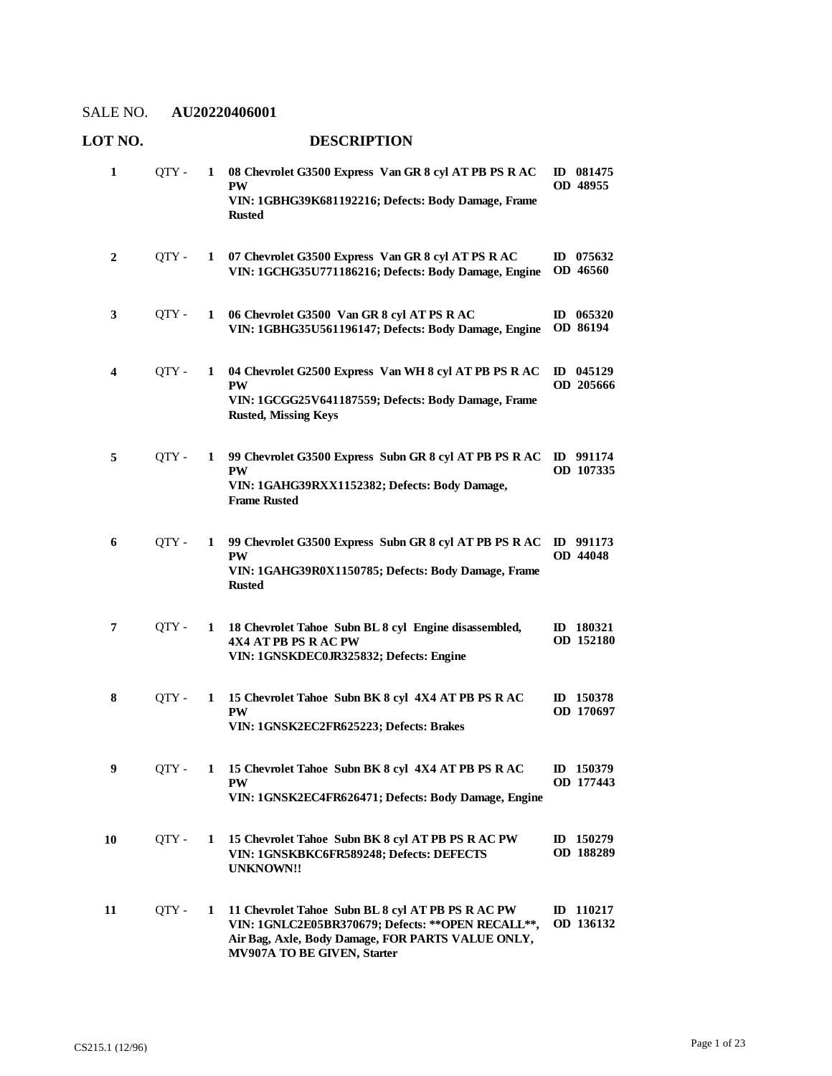| 1            | QTY - | 1 | 08 Chevrolet G3500 Express Van GR 8 cyl AT PB PS R AC<br><b>PW</b><br>VIN: 1GBHG39K681192216; Defects: Body Damage, Frame<br><b>Rusted</b>                                                   | ID 081475<br>OD 48955    |
|--------------|-------|---|----------------------------------------------------------------------------------------------------------------------------------------------------------------------------------------------|--------------------------|
| $\mathbf{2}$ | QTY - | 1 | 07 Chevrolet G3500 Express Van GR 8 cyl AT PS R AC<br>VIN: 1GCHG35U771186216; Defects: Body Damage, Engine                                                                                   | ID $075632$<br>OD 46560  |
| 3            | OTY - | 1 | 06 Chevrolet G3500 Van GR 8 cyl AT PS R AC<br>VIN: 1GBHG35U561196147; Defects: Body Damage, Engine                                                                                           | $ID$ 065320<br>OD 86194  |
| 4            | OTY - | 1 | 04 Chevrolet G2500 Express Van WH 8 cyl AT PB PS R AC<br><b>PW</b><br>VIN: 1GCGG25V641187559; Defects: Body Damage, Frame<br><b>Rusted, Missing Keys</b>                                     | $ID$ 045129<br>OD 205666 |
| 5            | OTY - | 1 | 99 Chevrolet G3500 Express Subn GR 8 cyl AT PB PS R AC<br><b>PW</b><br>VIN: 1GAHG39RXX1152382; Defects: Body Damage,<br><b>Frame Rusted</b>                                                  | ID 991174<br>OD 107335   |
| 6            | QTY - | 1 | 99 Chevrolet G3500 Express Subn GR 8 cyl AT PB PS R AC<br><b>PW</b><br>VIN: 1GAHG39R0X1150785; Defects: Body Damage, Frame<br><b>Rusted</b>                                                  | ID 991173<br>OD 44048    |
| 7            | QTY - | 1 | 18 Chevrolet Tahoe Subn BL 8 cyl Engine disassembled,<br>4X4 AT PB PS R AC PW<br>VIN: 1GNSKDEC0JR325832; Defects: Engine                                                                     | ID 180321<br>OD 152180   |
| 8            | QTY - | 1 | 15 Chevrolet Tahoe Subn BK 8 cyl 4X4 AT PB PS R AC<br><b>PW</b><br>VIN: 1GNSK2EC2FR625223; Defects: Brakes                                                                                   | ID 150378<br>OD 170697   |
| 9            | OTY-  | 1 | 15 Chevrolet Tahoe Subn BK 8 cyl 4X4 AT PB PS R AC<br><b>PW</b><br>VIN: 1GNSK2EC4FR626471; Defects: Body Damage, Engine                                                                      | ID 150379<br>OD 177443   |
| 10           | QTY - | 1 | 15 Chevrolet Tahoe Subn BK 8 cyl AT PB PS R AC PW<br>VIN: 1GNSKBKC6FR589248; Defects: DEFECTS<br><b>UNKNOWN!!</b>                                                                            | ID 150279<br>OD 188289   |
| 11           | OTY - | 1 | 11 Chevrolet Tahoe Subn BL 8 cyl AT PB PS R AC PW<br>VIN: 1GNLC2E05BR370679; Defects: ** OPEN RECALL **,<br>Air Bag, Axle, Body Damage, FOR PARTS VALUE ONLY,<br>MV907A TO BE GIVEN, Starter | ID 110217<br>OD 136132   |

# **LOT NO. DESCRIPTION**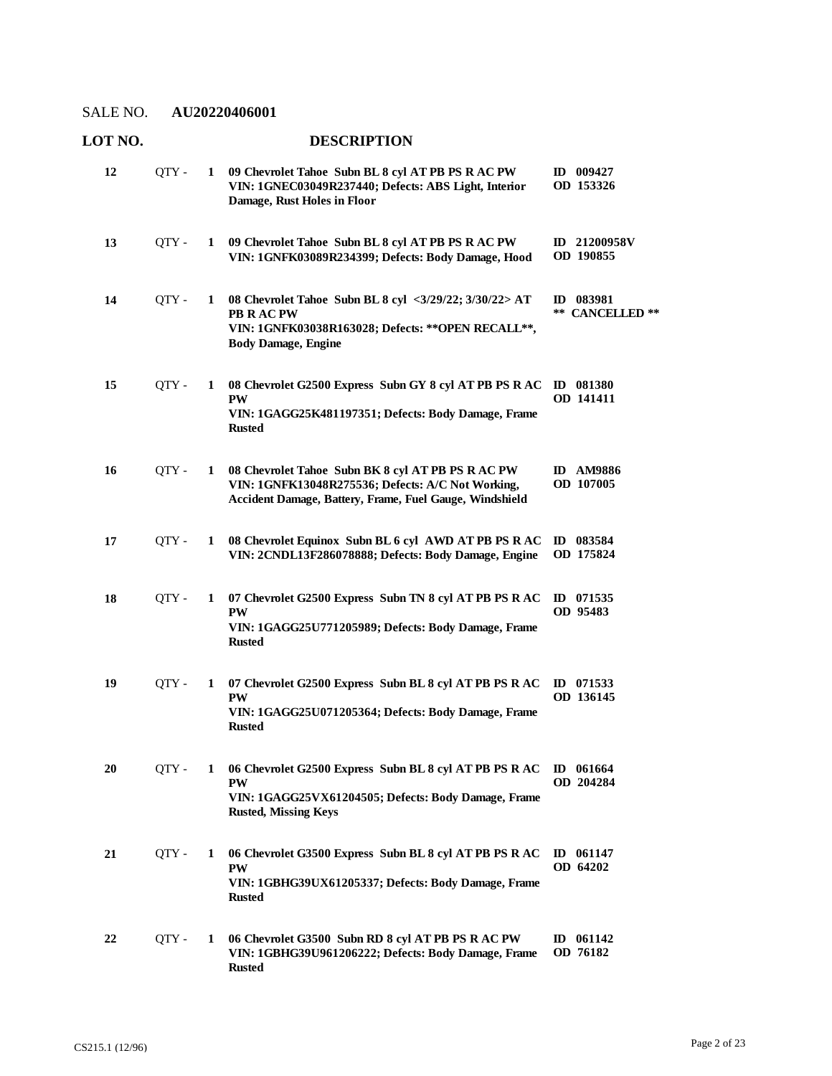**13**

### **LOT NO. DESCRIPTION 09 Chevrolet Tahoe Subn BL 8 cyl AT PB PS R AC PW**  QTY - **1 ID 009427 VIN: 1GNEC03049R237440; Defects: ABS Light, Interior Damage, Rust Holes in Floor 12**

**09 Chevrolet Tahoe Subn BL 8 cyl AT PB PS R AC PW**  QTY - **1 ID 21200958V VIN: 1GNFK03089R234399; Defects: Body Damage, Hood OD 190855 08 Chevrolet Tahoe Subn BL 8 cyl <3/29/22; 3/30/22> AT**  QTY - **1 ID 083981 PB R AC PW VIN: 1GNFK03038R163028; Defects: \*\*OPEN RECALL\*\*, Body Damage, Engine \*\* CANCELLED \*\* 14**

**OD 153326**

- **08 Chevrolet G2500 Express Subn GY 8 cyl AT PB PS R AC**  QTY **1 ID 081380 PW VIN: 1GAGG25K481197351; Defects: Body Damage, Frame Rusted OD 141411 15**
- **08 Chevrolet Tahoe Subn BK 8 cyl AT PB PS R AC PW**  QTY **1 ID AM9886 VIN: 1GNFK13048R275536; Defects: A/C Not Working, Accident Damage, Battery, Frame, Fuel Gauge, Windshield OD 107005 16**
- **08 Chevrolet Equinox Subn BL 6 cyl AWD AT PB PS R AC**  QTY **1 ID 083584 VIN: 2CNDL13F286078888; Defects: Body Damage, Engine OD 175824 17**
- **07 Chevrolet G2500 Express Subn TN 8 cyl AT PB PS R AC**  QTY **1 ID 071535 PW VIN: 1GAGG25U771205989; Defects: Body Damage, Frame Rusted OD 95483 18**
- **07 Chevrolet G2500 Express Subn BL 8 cyl AT PB PS R AC**  QTY **1 ID 071533 PW VIN: 1GAGG25U071205364; Defects: Body Damage, Frame Rusted OD 136145 19**
- **06 Chevrolet G2500 Express Subn BL 8 cyl AT PB PS R AC**  QTY **1 ID 061664 PW VIN: 1GAGG25VX61204505; Defects: Body Damage, Frame Rusted, Missing Keys OD 204284 20**
- **06 Chevrolet G3500 Express Subn BL 8 cyl AT PB PS R AC**  QTY **1 ID 061147 PW VIN: 1GBHG39UX61205337; Defects: Body Damage, Frame Rusted OD 64202 21**
- **06 Chevrolet G3500 Subn RD 8 cyl AT PB PS R AC PW**  QTY **1 ID 061142 VIN: 1GBHG39U961206222; Defects: Body Damage, Frame Rusted OD 76182 22**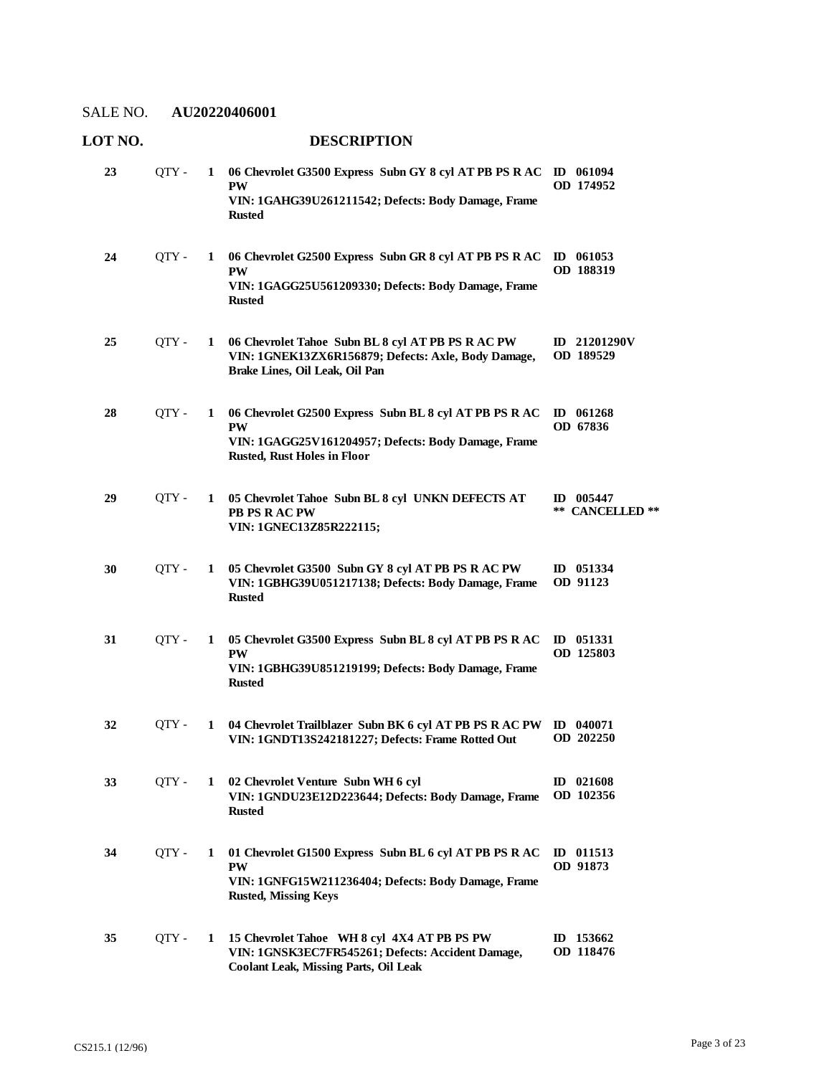| LOT NO. |       |   | <b>DESCRIPTION</b>                                                                                                                                               |                               |
|---------|-------|---|------------------------------------------------------------------------------------------------------------------------------------------------------------------|-------------------------------|
| 23      | OTY - | 1 | 06 Chevrolet G3500 Express Subn GY 8 cyl AT PB PS R AC ID 061094<br><b>PW</b><br>VIN: 1GAHG39U261211542; Defects: Body Damage, Frame<br><b>Rusted</b>            | OD 174952                     |
| 24      | QTY - | 1 | 06 Chevrolet G2500 Express Subn GR 8 cyl AT PB PS R AC<br><b>PW</b><br>VIN: 1GAGG25U561209330; Defects: Body Damage, Frame<br><b>Rusted</b>                      | $\bf{ID}$ 061053<br>OD 188319 |
| 25      | OTY - | 1 | 06 Chevrolet Tahoe Subn BL 8 cyl AT PB PS R AC PW<br>VIN: 1GNEK13ZX6R156879; Defects: Axle, Body Damage,<br>Brake Lines, Oil Leak, Oil Pan                       | ID 21201290V<br>OD 189529     |
| 28      | QTY - | 1 | 06 Chevrolet G2500 Express Subn BL 8 cyl AT PB PS R AC<br><b>PW</b><br>VIN: 1GAGG25V161204957; Defects: Body Damage, Frame<br><b>Rusted, Rust Holes in Floor</b> | $ID$ 061268<br>OD 67836       |
| 29      | QTY - | 1 | 05 Chevrolet Tahoe Subn BL 8 cyl UNKN DEFECTS AT<br>PB PS R AC PW<br>VIN: 1GNEC13Z85R222115;                                                                     | ID 005447<br>** CANCELLED **  |
| 30      | OTY - | 1 | 05 Chevrolet G3500 Subn GY 8 cyl AT PB PS R AC PW<br>VIN: 1GBHG39U051217138; Defects: Body Damage, Frame<br><b>Rusted</b>                                        | ID 051334<br>OD 91123         |
| 31      | QTY - | 1 | 05 Chevrolet G3500 Express Subn BL 8 cyl AT PB PS R AC<br><b>PW</b><br>VIN: 1GBHG39U851219199; Defects: Body Damage, Frame<br><b>Rusted</b>                      | $ID$ 051331<br>OD 125803      |
| 32      | OTY - | 1 | 04 Chevrolet Trailblazer Subn BK 6 cyl AT PB PS R AC PW ID 040071<br>VIN: 1GNDT13S242181227; Defects: Frame Rotted Out OD 202250                                 |                               |
| 33      | OTY - | 1 | 02 Chevrolet Venture Subn WH 6 cyl<br>VIN: 1GNDU23E12D223644; Defects: Body Damage, Frame<br><b>Rusted</b>                                                       | $ID$ 021608<br>OD 102356      |
| 34      | QTY - | 1 | 01 Chevrolet G1500 Express Subn BL 6 cyl AT PB PS R AC<br><b>PW</b><br>VIN: 1GNFG15W211236404; Defects: Body Damage, Frame<br><b>Rusted, Missing Keys</b>        | ID $011513$<br>OD 91873       |
| 35      | QTY - | 1 | 15 Chevrolet Tahoe WH 8 cyl 4X4 AT PB PS PW<br>VIN: 1GNSK3EC7FR545261; Defects: Accident Damage,<br><b>Coolant Leak, Missing Parts, Oil Leak</b>                 | ID $153662$<br>OD 118476      |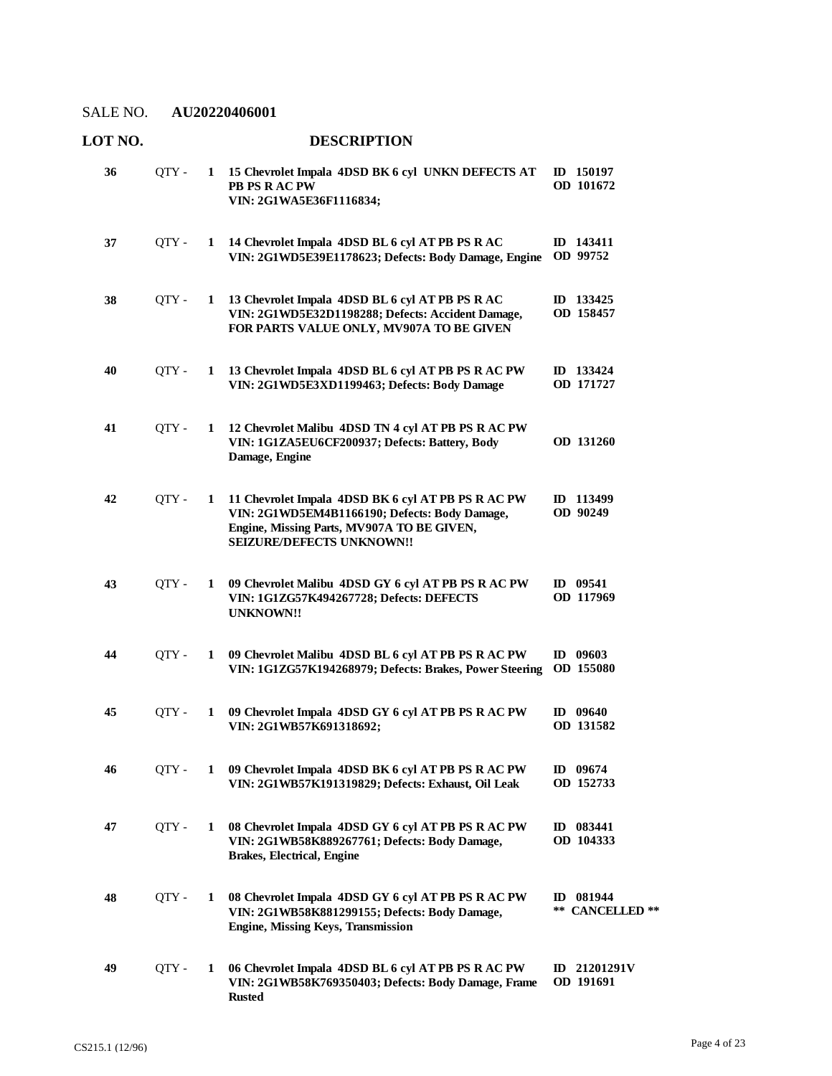| LOT NO. |       |   | <b>DESCRIPTION</b>                                                                                                                                                             |                              |
|---------|-------|---|--------------------------------------------------------------------------------------------------------------------------------------------------------------------------------|------------------------------|
| 36      | QTY - | 1 | 15 Chevrolet Impala 4DSD BK 6 cyl UNKN DEFECTS AT<br>PB PS R AC PW<br>VIN: 2G1WA5E36F1116834;                                                                                  | ID 150197<br>OD 101672       |
| 37      | QTY - | 1 | 14 Chevrolet Impala 4DSD BL 6 cyl AT PB PS R AC<br>VIN: 2G1WD5E39E1178623; Defects: Body Damage, Engine                                                                        | ID 143411<br>OD 99752        |
| 38      | OTY - | 1 | 13 Chevrolet Impala 4DSD BL 6 cyl AT PB PS R AC<br>VIN: 2G1WD5E32D1198288; Defects: Accident Damage,<br>FOR PARTS VALUE ONLY, MV907A TO BE GIVEN                               | ID 133425<br>OD 158457       |
| 40      | QTY-  | 1 | 13 Chevrolet Impala 4DSD BL 6 cyl AT PB PS R AC PW<br>VIN: 2G1WD5E3XD1199463; Defects: Body Damage                                                                             | ID 133424<br>OD 171727       |
| 41      | QTY-  | 1 | 12 Chevrolet Malibu 4DSD TN 4 cyl AT PB PS R AC PW<br>VIN: 1G1ZA5EU6CF200937; Defects: Battery, Body<br>Damage, Engine                                                         | OD 131260                    |
| 42      | QTY - | 1 | 11 Chevrolet Impala 4DSD BK 6 cyl AT PB PS R AC PW<br>VIN: 2G1WD5EM4B1166190; Defects: Body Damage,<br>Engine, Missing Parts, MV907A TO BE GIVEN,<br>SEIZURE/DEFECTS UNKNOWN!! | ID 113499<br>OD 90249        |
| 43      | QTY-  | 1 | 09 Chevrolet Malibu 4DSD GY 6 cyl AT PB PS R AC PW<br>VIN: 1G1ZG57K494267728; Defects: DEFECTS<br><b>UNKNOWN!!</b>                                                             | ID 09541<br>OD 117969        |
| 44      | QTY - | 1 | 09 Chevrolet Malibu 4DSD BL 6 cyl AT PB PS R AC PW<br>VIN: 1G1ZG57K194268979; Defects: Brakes, Power Steering                                                                  | ID 09603<br>OD 155080        |
| 45      | OTY - | 1 | 09 Chevrolet Impala 4DSD GY 6 cyl AT PB PS R AC PW<br>VIN: 2G1WB57K691318692;                                                                                                  | ID $09640$<br>OD 131582      |
| 46      | OTY - | 1 | 09 Chevrolet Impala 4DSD BK 6 cyl AT PB PS R AC PW<br>VIN: 2G1WB57K191319829; Defects: Exhaust, Oil Leak                                                                       | $ID$ 09674<br>OD 152733      |
| 47      | OTY - | 1 | 08 Chevrolet Impala 4DSD GY 6 cyl AT PB PS R AC PW<br>VIN: 2G1WB58K889267761; Defects: Body Damage,<br><b>Brakes, Electrical, Engine</b>                                       | ID 083441<br>OD 104333       |
| 48      | QTY - | 1 | 08 Chevrolet Impala 4DSD GY 6 cyl AT PB PS R AC PW<br>VIN: 2G1WB58K881299155; Defects: Body Damage,<br><b>Engine, Missing Keys, Transmission</b>                               | ID 081944<br>** CANCELLED ** |
| 49      | QTY - | 1 | 06 Chevrolet Impala 4DSD BL 6 cyl AT PB PS R AC PW<br>VIN: 2G1WB58K769350403; Defects: Body Damage, Frame<br><b>Rusted</b>                                                     | ID 21201291V<br>OD 191691    |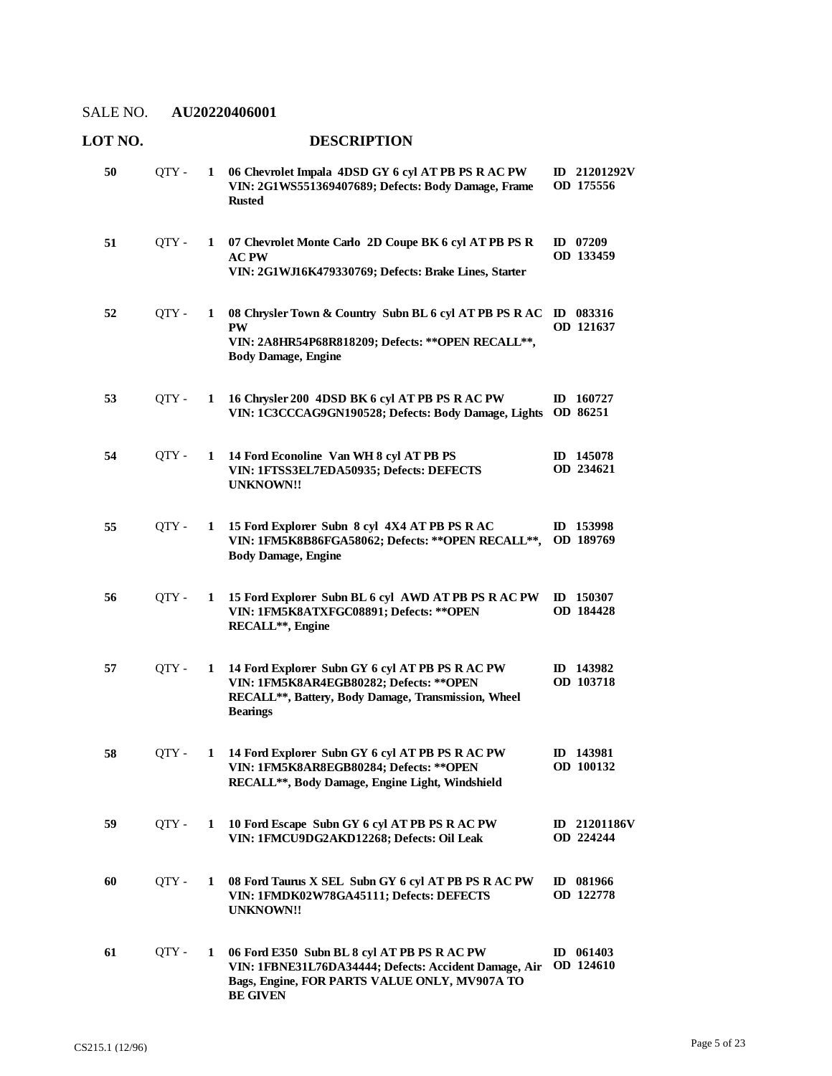| LOT NO. |       |              | <b>DESCRIPTION</b>                                                                                                                                                       |                           |
|---------|-------|--------------|--------------------------------------------------------------------------------------------------------------------------------------------------------------------------|---------------------------|
| 50      | QTY-  | 1            | 06 Chevrolet Impala 4DSD GY 6 cyl AT PB PS R AC PW<br>VIN: 2G1WS551369407689; Defects: Body Damage, Frame<br><b>Rusted</b>                                               | ID 21201292V<br>OD 175556 |
| 51      | QTY - | 1            | 07 Chevrolet Monte Carlo 2D Coupe BK 6 cyl AT PB PS R<br><b>AC PW</b><br>VIN: 2G1WJ16K479330769; Defects: Brake Lines, Starter                                           | ID 07209<br>OD 133459     |
| 52      | QTY - | 1            | 08 Chrysler Town & Country Subn BL 6 cyl AT PB PS R AC<br><b>PW</b><br>VIN: 2A8HR54P68R818209; Defects: ** OPEN RECALL **,<br><b>Body Damage, Engine</b>                 | ID 083316<br>OD 121637    |
| 53      | QTY - | 1            | 16 Chrysler 200 4DSD BK 6 cyl AT PB PS R AC PW<br>VIN: 1C3CCCAG9GN190528; Defects: Body Damage, Lights                                                                   | ID $160727$<br>OD 86251   |
| 54      | QTY - | 1            | 14 Ford Econoline Van WH 8 cyl AT PB PS<br>VIN: 1FTSS3EL7EDA50935; Defects: DEFECTS<br><b>UNKNOWN!!</b>                                                                  | ID 145078<br>OD 234621    |
| 55      | QTY - | $\mathbf{1}$ | 15 Ford Explorer Subn 8 cyl 4X4 AT PB PS R AC<br>VIN: 1FM5K8B86FGA58062; Defects: ** OPEN RECALL **,<br><b>Body Damage, Engine</b>                                       | ID 153998<br>OD 189769    |
| 56      | QTY - | $\mathbf{1}$ | 15 Ford Explorer Subn BL 6 cyl AWD AT PB PS R AC PW<br>VIN: 1FM5K8ATXFGC08891; Defects: ** OPEN<br>RECALL**, Engine                                                      | ID $150307$<br>OD 184428  |
| 57      | QTY - | 1            | 14 Ford Explorer Subn GY 6 cyl AT PB PS R AC PW<br>VIN: 1FM5K8AR4EGB80282; Defects: ** OPEN<br>RECALL**, Battery, Body Damage, Transmission, Wheel<br><b>Bearings</b>    | ID 143982<br>OD 103718    |
| 58      | QTY - | 1            | 14 Ford Explorer Subn GY 6 cyl AT PB PS R AC PW<br>VIN: 1FM5K8AR8EGB80284; Defects: ** OPEN<br>RECALL**, Body Damage, Engine Light, Windshield                           | ID 143981<br>OD 100132    |
| 59      | QTY-  | 1            | 10 Ford Escape Subn GY 6 cyl AT PB PS R AC PW<br>VIN: 1FMCU9DG2AKD12268; Defects: Oil Leak                                                                               | ID 21201186V<br>OD 224244 |
| 60      | QTY - | 1            | 08 Ford Taurus X SEL Subn GY 6 cyl AT PB PS R AC PW<br>VIN: 1FMDK02W78GA45111; Defects: DEFECTS<br><b>UNKNOWN!!</b>                                                      | ID 081966<br>OD 122778    |
| 61      | QTY - | 1            | 06 Ford E350 Subn BL 8 cyl AT PB PS R AC PW<br>VIN: 1FBNE31L76DA34444; Defects: Accident Damage, Air<br>Bags, Engine, FOR PARTS VALUE ONLY, MV907A TO<br><b>BE GIVEN</b> | ID $061403$<br>OD 124610  |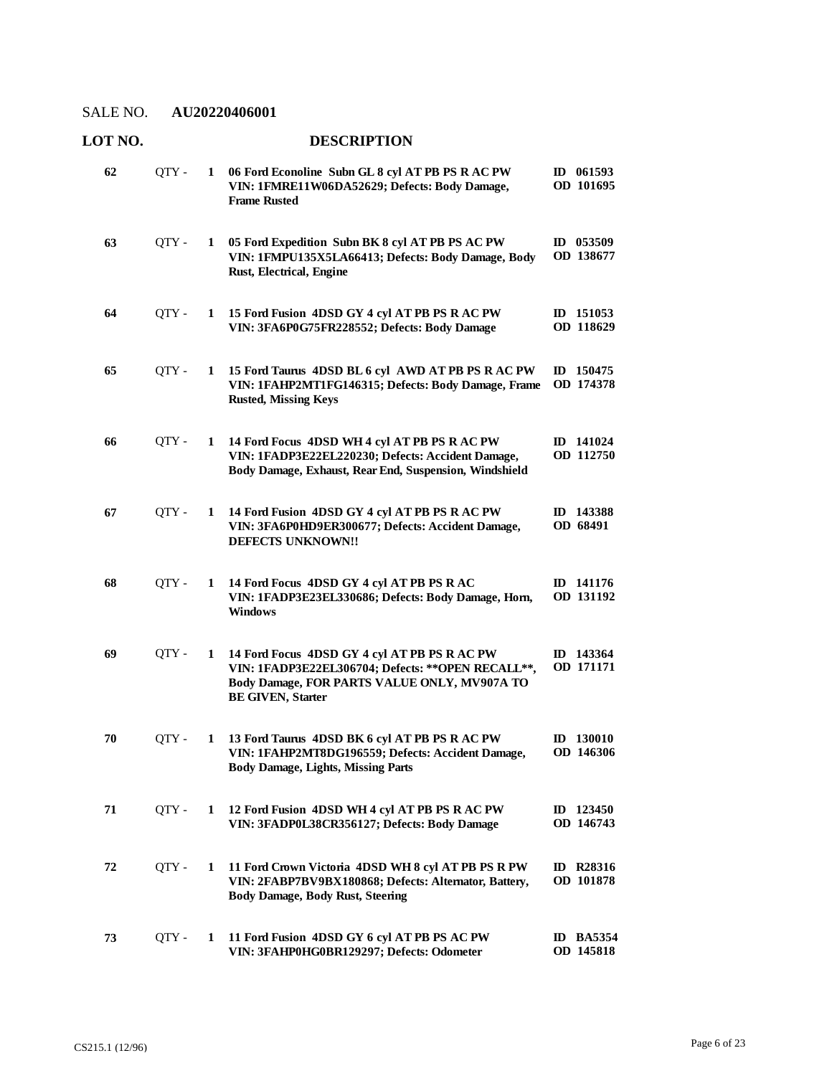| LOT NO. |       |              | <b>DESCRIPTION</b>                                                                                                                                                             |                               |
|---------|-------|--------------|--------------------------------------------------------------------------------------------------------------------------------------------------------------------------------|-------------------------------|
| 62      | QTY - | 1            | 06 Ford Econoline Subn GL 8 cyl AT PB PS R AC PW<br>VIN: 1FMRE11W06DA52629; Defects: Body Damage,<br><b>Frame Rusted</b>                                                       | ID 061593<br>OD 101695        |
| 63      | QTY - | 1            | 05 Ford Expedition Subn BK 8 cyl AT PB PS AC PW<br>VIN: 1FMPU135X5LA66413; Defects: Body Damage, Body<br>Rust, Electrical, Engine                                              | ID 053509<br>OD 138677        |
| 64      | QTY - | 1            | 15 Ford Fusion 4DSD GY 4 cyl AT PB PS R AC PW<br>VIN: 3FA6P0G75FR228552; Defects: Body Damage                                                                                  | ID 151053<br>OD 118629        |
| 65      | QTY - | 1            | 15 Ford Taurus 4DSD BL 6 cyl AWD AT PB PS R AC PW<br>VIN: 1FAHP2MT1FG146315; Defects: Body Damage, Frame<br><b>Rusted, Missing Keys</b>                                        | ID 150475<br>OD 174378        |
| 66      | QTY-  | 1            | 14 Ford Focus 4DSD WH 4 cyl AT PB PS R AC PW<br>VIN: 1FADP3E22EL220230; Defects: Accident Damage,<br>Body Damage, Exhaust, Rear End, Suspension, Windshield                    | ID 141024<br>OD 112750        |
| 67      | QTY - | 1            | 14 Ford Fusion 4DSD GY 4 cyl AT PB PS R AC PW<br>VIN: 3FA6P0HD9ER300677; Defects: Accident Damage,<br><b>DEFECTS UNKNOWN!!</b>                                                 | ID 143388<br>OD 68491         |
| 68      | QTY - | 1            | 14 Ford Focus 4DSD GY 4 cyl AT PB PS R AC<br>VIN: 1FADP3E23EL330686; Defects: Body Damage, Horn,<br><b>Windows</b>                                                             | ID 141176<br>OD 131192        |
| 69      | QTY - | 1            | 14 Ford Focus 4DSD GY 4 cyl AT PB PS R AC PW<br>VIN: 1FADP3E22EL306704; Defects: ** OPEN RECALL**,<br>Body Damage, FOR PARTS VALUE ONLY, MV907A TO<br><b>BE GIVEN, Starter</b> | ID 143364<br>OD 171171        |
| 70      | QTY-  | $\mathbf{I}$ | 13 Ford Taurus 4DSD BK 6 cyl AT PB PS R AC PW<br>VIN: 1FAHP2MT8DG196559; Defects: Accident Damage,<br><b>Body Damage, Lights, Missing Parts</b>                                | <b>ID</b> 130010<br>OD 146306 |
| 71      | QTY - | 1            | 12 Ford Fusion 4DSD WH 4 cyl AT PB PS R AC PW<br>VIN: 3FADP0L38CR356127; Defects: Body Damage                                                                                  | $ID$ 123450<br>OD 146743      |
| 72      | QTY - | 1            | 11 Ford Crown Victoria 4DSD WH 8 cyl AT PB PS R PW<br>VIN: 2FABP7BV9BX180868; Defects: Alternator, Battery,<br><b>Body Damage, Body Rust, Steering</b>                         | ID R28316<br><b>OD</b> 101878 |
| 73      | QTY-  | 1            | 11 Ford Fusion 4DSD GY 6 cyl AT PB PS AC PW<br>VIN: 3FAHP0HG0BR129297; Defects: Odometer                                                                                       | <b>ID BA5354</b><br>OD 145818 |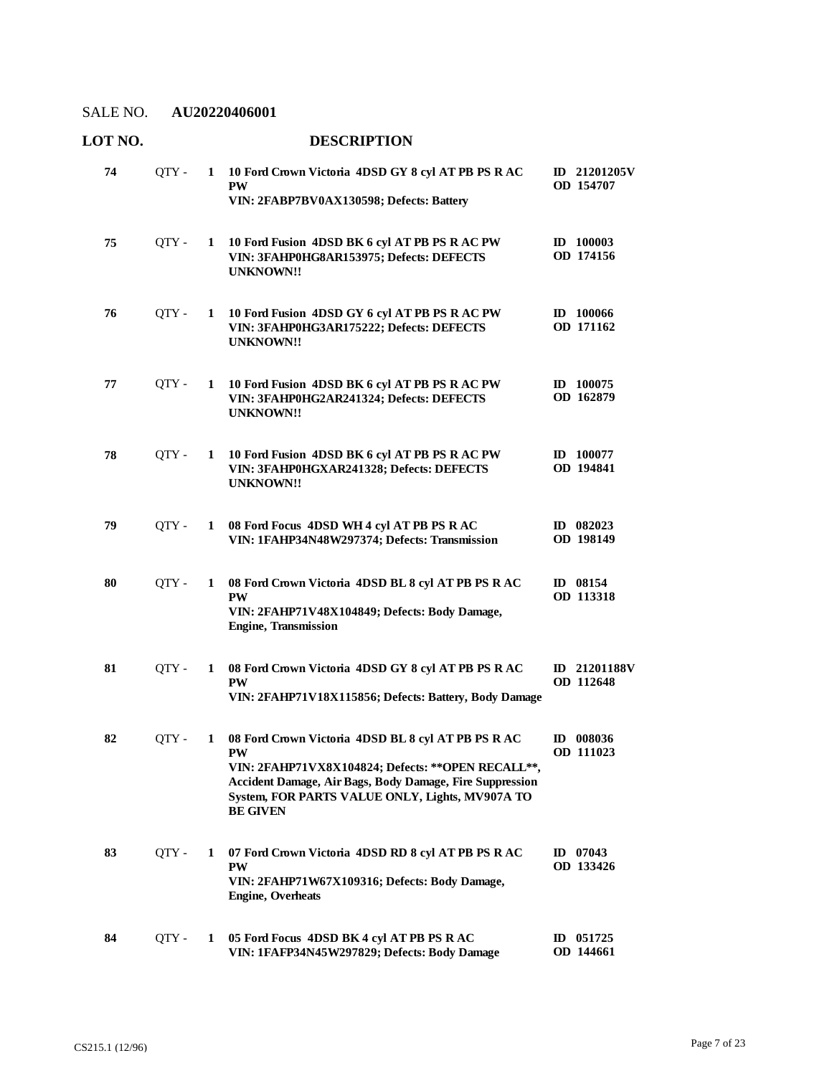| LOT NO. |       |             | <b>DESCRIPTION</b>                                                                                                                                                                                                                                      |                           |
|---------|-------|-------------|---------------------------------------------------------------------------------------------------------------------------------------------------------------------------------------------------------------------------------------------------------|---------------------------|
| 74      | QTY-  | 1           | 10 Ford Crown Victoria 4DSD GY 8 cyl AT PB PS R AC<br><b>PW</b><br>VIN: 2FABP7BV0AX130598; Defects: Battery                                                                                                                                             | ID 21201205V<br>OD 154707 |
| 75      | QTY-  | 1           | 10 Ford Fusion 4DSD BK 6 cyl AT PB PS R AC PW<br>VIN: 3FAHP0HG8AR153975; Defects: DEFECTS<br><b>UNKNOWN!!</b>                                                                                                                                           | ID 100003<br>OD 174156    |
| 76      | QTY - | 1           | 10 Ford Fusion 4DSD GY 6 cyl AT PB PS R AC PW<br>VIN: 3FAHP0HG3AR175222; Defects: DEFECTS<br><b>UNKNOWN!!</b>                                                                                                                                           | $ID$ 100066<br>OD 171162  |
| 77      | QTY - | $\mathbf 1$ | 10 Ford Fusion 4DSD BK 6 cyl AT PB PS R AC PW<br>VIN: 3FAHP0HG2AR241324; Defects: DEFECTS<br><b>UNKNOWN!!</b>                                                                                                                                           | ID 100075<br>OD 162879    |
| 78      | QTY-  | 1           | 10 Ford Fusion 4DSD BK 6 cyl AT PB PS R AC PW<br>VIN: 3FAHP0HGXAR241328; Defects: DEFECTS<br><b>UNKNOWN!!</b>                                                                                                                                           | ID 100077<br>OD 194841    |
| 79      | QTY - | 1           | 08 Ford Focus 4DSD WH 4 cyl AT PB PS R AC<br>VIN: 1FAHP34N48W297374; Defects: Transmission                                                                                                                                                              | ID $082023$<br>OD 198149  |
| 80      | QTY-  | 1           | 08 Ford Crown Victoria 4DSD BL 8 cyl AT PB PS R AC<br><b>PW</b><br>VIN: 2FAHP71V48X104849; Defects: Body Damage,<br><b>Engine, Transmission</b>                                                                                                         | ID 08154<br>OD 113318     |
| 81      | OTY - | 1           | 08 Ford Crown Victoria 4DSD GY 8 cyl AT PB PS R AC<br><b>PW</b><br>VIN: 2FAHP71V18X115856; Defects: Battery, Body Damage                                                                                                                                | ID 21201188V<br>OD 112648 |
| 82      | QTY - | 1           | 08 Ford Crown Victoria 4DSD BL 8 cyl AT PB PS R AC<br>PW<br>VIN: 2FAHP71VX8X104824; Defects: ** OPEN RECALL**,<br><b>Accident Damage, Air Bags, Body Damage, Fire Suppression</b><br>System, FOR PARTS VALUE ONLY, Lights, MV907A TO<br><b>BE GIVEN</b> | ID 008036<br>OD 111023    |
| 83      | QTY-  | 1           | 07 Ford Crown Victoria 4DSD RD 8 cvl AT PB PS R AC<br><b>PW</b><br>VIN: 2FAHP71W67X109316; Defects: Body Damage,<br><b>Engine, Overheats</b>                                                                                                            | ID $07043$<br>OD 133426   |
| 84      | QTY - | $\mathbf 1$ | 05 Ford Focus 4DSD BK 4 cyl AT PB PS R AC<br>VIN: 1FAFP34N45W297829; Defects: Body Damage                                                                                                                                                               | ID 051725<br>OD 144661    |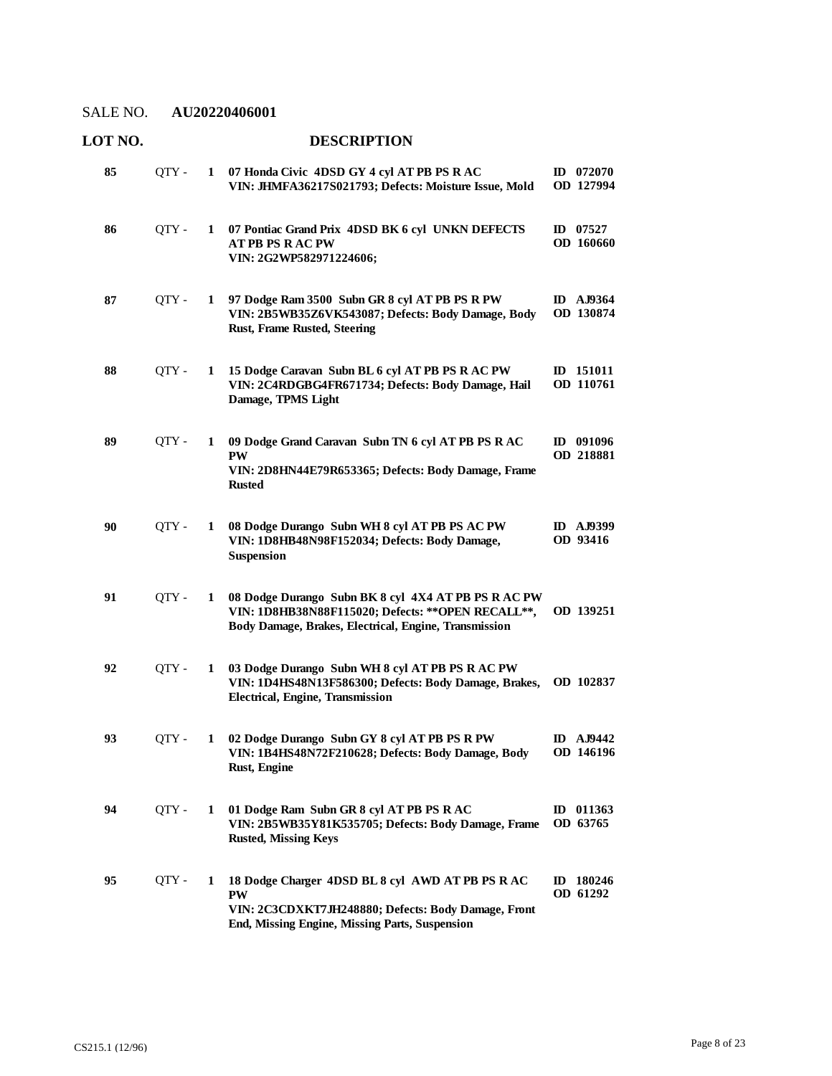| LOT NO. |       |              | <b>DESCRIPTION</b>                                                                                                                                                     |                               |
|---------|-------|--------------|------------------------------------------------------------------------------------------------------------------------------------------------------------------------|-------------------------------|
| 85      | QTY - | 1            | 07 Honda Civic 4DSD GY 4 cyl AT PB PS R AC<br>VIN: JHMFA36217S021793; Defects: Moisture Issue, Mold                                                                    | ID $072070$<br>OD 127994      |
| 86      | QTY - | 1            | 07 Pontiac Grand Prix 4DSD BK 6 cyl UNKN DEFECTS<br><b>AT PB PS RAC PW</b><br>VIN: 2G2WP582971224606;                                                                  | ID $07527$<br>OD 160660       |
| 87      | QTY - | 1            | 97 Dodge Ram 3500 Subn GR 8 cyl AT PB PS R PW<br>VIN: 2B5WB35Z6VK543087; Defects: Body Damage, Body<br><b>Rust, Frame Rusted, Steering</b>                             | <b>ID</b> AJ9364<br>OD 130874 |
| 88      | QTY - | 1            | 15 Dodge Caravan Subn BL 6 cyl AT PB PS R AC PW<br>VIN: 2C4RDGBG4FR671734; Defects: Body Damage, Hail<br>Damage, TPMS Light                                            | ID 151011<br>OD 110761        |
| 89      | QTY-  | 1            | 09 Dodge Grand Caravan Subn TN 6 cyl AT PB PS R AC<br><b>PW</b><br>VIN: 2D8HN44E79R653365; Defects: Body Damage, Frame<br><b>Rusted</b>                                | ID 091096<br>OD 218881        |
| 90      | QTY - | 1            | 08 Dodge Durango Subn WH 8 cyl AT PB PS AC PW<br>VIN: 1D8HB48N98F152034; Defects: Body Damage,<br><b>Suspension</b>                                                    | <b>ID</b> AJ9399<br>OD 93416  |
| 91      | QTY - | 1            | 08 Dodge Durango Subn BK 8 cyl 4X4 AT PB PS R AC PW<br>VIN: 1D8HB38N88F115020; Defects: ** OPEN RECALL **,<br>Body Damage, Brakes, Electrical, Engine, Transmission    | OD 139251                     |
| 92      | OTY - | 1            | 03 Dodge Durango Subn WH 8 cyl AT PB PS R AC PW<br>VIN: 1D4HS48N13F586300; Defects: Body Damage, Brakes,<br><b>Electrical, Engine, Transmission</b>                    | OD 102837                     |
| 93      | QTY - | $\mathbf{I}$ | 02 Dodge Durango Subn GY 8 cyl AT PB PS R PW<br>VIN: 1B4HS48N72F210628; Defects: Body Damage, Body<br>Rust, Engine                                                     | <b>ID</b> AJ9442<br>OD 146196 |
| 94      | QTY - | 1            | 01 Dodge Ram Subn GR 8 cyl AT PB PS R AC<br>VIN: 2B5WB35Y81K535705; Defects: Body Damage, Frame<br><b>Rusted, Missing Keys</b>                                         | ID 011363<br>OD 63765         |
| 95      | QTY - | 1            | 18 Dodge Charger 4DSD BL 8 cyl AWD AT PB PS R AC<br><b>PW</b><br>VIN: 2C3CDXKT7JH248880; Defects: Body Damage, Front<br>End, Missing Engine, Missing Parts, Suspension | ID 180246<br>OD 61292         |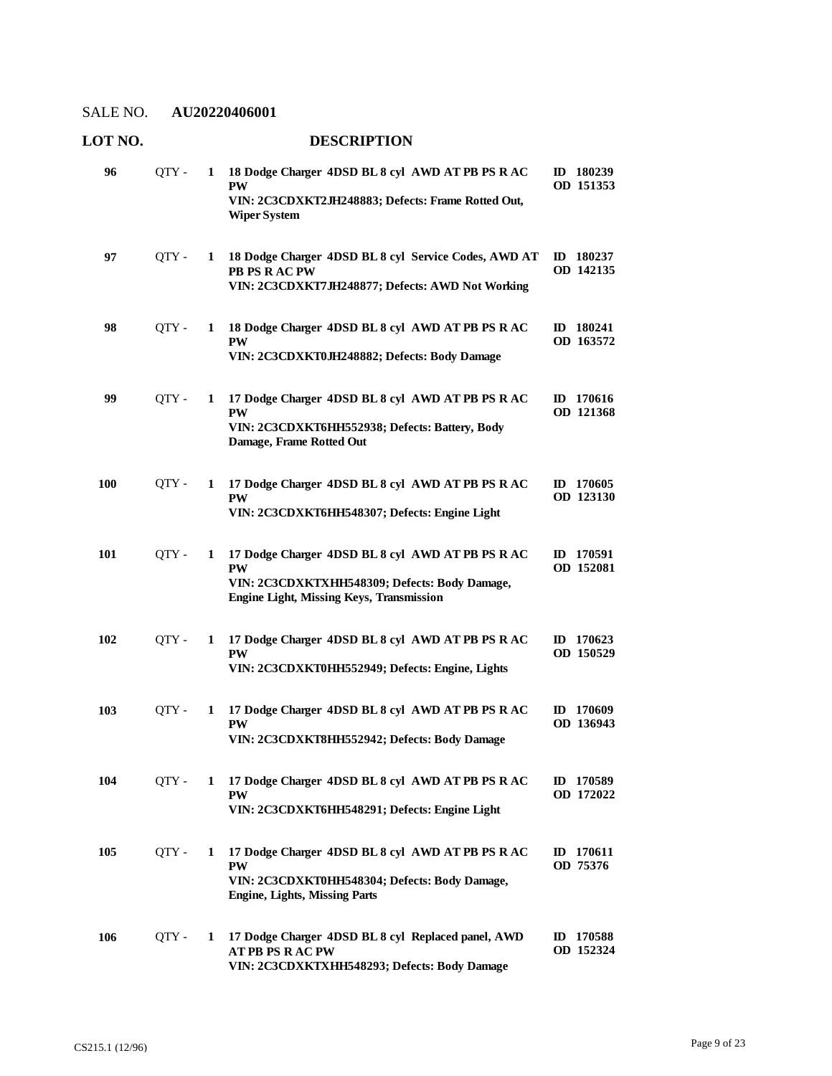| LOT NO. |       |   | <b>DESCRIPTION</b>                                                                                                                                         |                        |
|---------|-------|---|------------------------------------------------------------------------------------------------------------------------------------------------------------|------------------------|
| 96      | QTY - | 1 | 18 Dodge Charger 4DSD BL 8 cyl AWD AT PB PS R AC<br><b>PW</b><br>VIN: 2C3CDXKT2JH248883; Defects: Frame Rotted Out,<br><b>Wiper System</b>                 | ID 180239<br>OD 151353 |
| 97      | QTY - | 1 | 18 Dodge Charger 4DSD BL 8 cyl Service Codes, AWD AT<br>PB PS R AC PW<br>VIN: 2C3CDXKT7JH248877; Defects: AWD Not Working                                  | ID 180237<br>OD 142135 |
| 98      | OTY - | 1 | 18 Dodge Charger 4DSD BL 8 cyl AWD AT PB PS R AC<br><b>PW</b><br>VIN: 2C3CDXKT0JH248882; Defects: Body Damage                                              | ID 180241<br>OD 163572 |
| 99      | QTY - | 1 | 17 Dodge Charger 4DSD BL 8 cyl AWD AT PB PS R AC<br><b>PW</b><br>VIN: 2C3CDXKT6HH552938; Defects: Battery, Body<br>Damage, Frame Rotted Out                | ID 170616<br>OD 121368 |
| 100     | QTY - | 1 | 17 Dodge Charger 4DSD BL 8 cyl AWD AT PB PS R AC<br><b>PW</b><br>VIN: 2C3CDXKT6HH548307; Defects: Engine Light                                             | ID 170605<br>OD 123130 |
| 101     | QTY - | 1 | 17 Dodge Charger 4DSD BL 8 cyl AWD AT PB PS R AC<br>PW<br>VIN: 2C3CDXKTXHH548309; Defects: Body Damage,<br><b>Engine Light, Missing Keys, Transmission</b> | ID 170591<br>OD 152081 |
| 102     | QTY - | 1 | 17 Dodge Charger 4DSD BL 8 cyl AWD AT PB PS R AC<br><b>PW</b><br>VIN: 2C3CDXKT0HH552949; Defects: Engine, Lights                                           | ID 170623<br>OD 150529 |
| 103     | QTY - | 1 | 17 Dodge Charger 4DSD BL 8 cyl AWD AT PB PS R AC<br><b>PW</b><br>VIN: 2C3CDXKT8HH552942; Defects: Body Damage                                              | ID 170609<br>OD 136943 |
| 104     | QTY-  | 1 | 17 Dodge Charger 4DSD BL 8 cyl AWD AT PB PS R AC<br><b>PW</b><br>VIN: 2C3CDXKT6HH548291; Defects: Engine Light                                             | ID 170589<br>OD 172022 |
| 105     | QTY-  | 1 | 17 Dodge Charger 4DSD BL 8 cyl AWD AT PB PS R AC<br><b>PW</b><br>VIN: 2C3CDXKT0HH548304; Defects: Body Damage,<br><b>Engine, Lights, Missing Parts</b>     | ID 170611<br>OD 75376  |
| 106     | QTY - | 1 | 17 Dodge Charger 4DSD BL 8 cyl Replaced panel, AWD<br><b>AT PB PS R AC PW</b><br>VIN: 2C3CDXKTXHH548293; Defects: Body Damage                              | ID 170588<br>OD 152324 |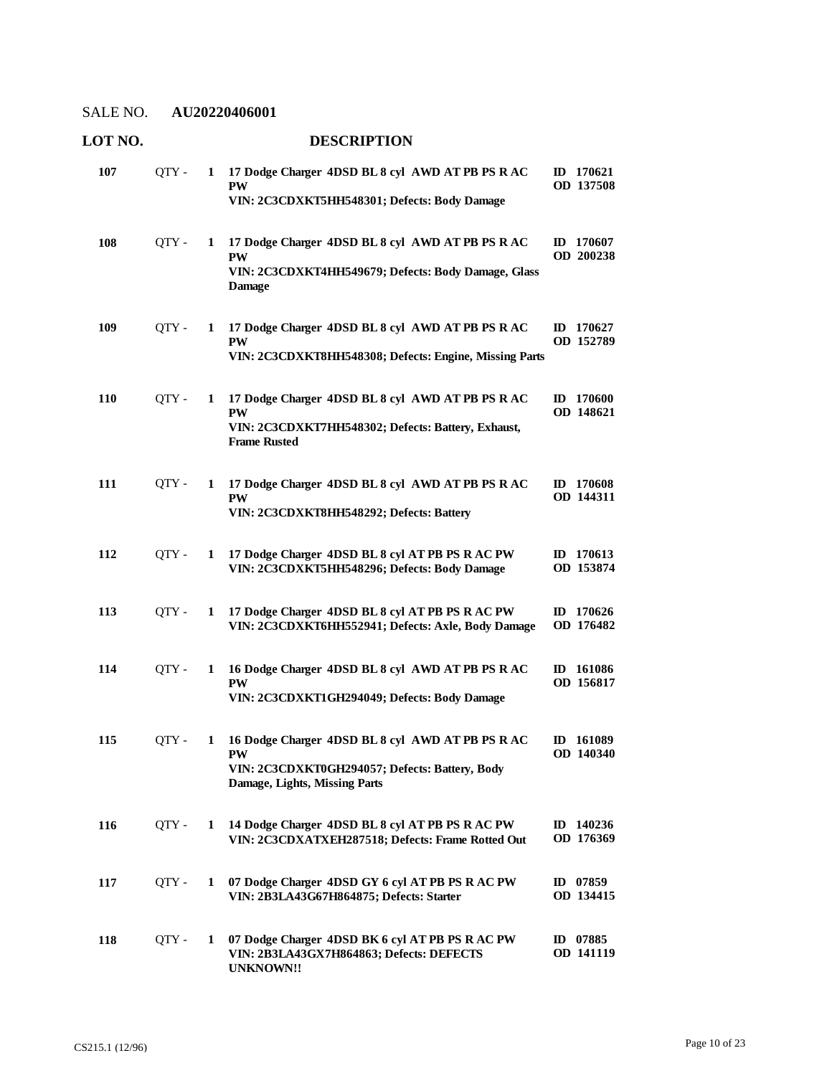| LOT NO. |       |   | <b>DESCRIPTION</b>                                                                                                                               |                          |
|---------|-------|---|--------------------------------------------------------------------------------------------------------------------------------------------------|--------------------------|
| 107     | QTY - | 1 | 17 Dodge Charger 4DSD BL 8 cyl AWD AT PB PS R AC<br><b>PW</b><br>VIN: 2C3CDXKT5HH548301; Defects: Body Damage                                    | $ID$ 170621<br>OD 137508 |
| 108     | QTY - | 1 | 17 Dodge Charger 4DSD BL 8 cyl AWD AT PB PS R AC<br><b>PW</b><br>VIN: 2C3CDXKT4HH549679; Defects: Body Damage, Glass<br><b>Damage</b>            | ID $170607$<br>OD 200238 |
| 109     | QTY - | 1 | 17 Dodge Charger 4DSD BL 8 cyl AWD AT PB PS R AC<br><b>PW</b><br>VIN: 2C3CDXKT8HH548308; Defects: Engine, Missing Parts                          | ID 170627<br>OD 152789   |
| 110     | QTY - | 1 | 17 Dodge Charger 4DSD BL 8 cyl AWD AT PB PS R AC<br><b>PW</b><br>VIN: 2C3CDXKT7HH548302; Defects: Battery, Exhaust,<br><b>Frame Rusted</b>       | ID 170600<br>OD 148621   |
| 111     | QTY - | 1 | 17 Dodge Charger 4DSD BL 8 cyl AWD AT PB PS R AC<br><b>PW</b><br>VIN: 2C3CDXKT8HH548292; Defects: Battery                                        | ID 170608<br>OD 144311   |
| 112     | QTY - | 1 | 17 Dodge Charger 4DSD BL 8 cyl AT PB PS R AC PW<br>VIN: 2C3CDXKT5HH548296; Defects: Body Damage                                                  | ID 170613<br>OD 153874   |
| 113     | OTY - | 1 | 17 Dodge Charger 4DSD BL 8 cyl AT PB PS R AC PW<br>VIN: 2C3CDXKT6HH552941; Defects: Axle, Body Damage                                            | ID 170626<br>OD 176482   |
| 114     | QTY - | 1 | 16 Dodge Charger 4DSD BL 8 cyl AWD AT PB PS R AC<br><b>PW</b><br>VIN: 2C3CDXKT1GH294049; Defects: Body Damage                                    | ID 161086<br>OD 156817   |
| 115     | QTY - | 1 | 16 Dodge Charger 4DSD BL 8 cyl AWD AT PB PS R AC<br><b>PW</b><br>VIN: 2C3CDXKT0GH294057; Defects: Battery, Body<br>Damage, Lights, Missing Parts | ID 161089<br>OD 140340   |
| 116     | QTY - | 1 | 14 Dodge Charger 4DSD BL 8 cyl AT PB PS R AC PW<br>VIN: 2C3CDXATXEH287518; Defects: Frame Rotted Out                                             | ID 140236<br>OD 176369   |
| 117     | QTY - | 1 | 07 Dodge Charger 4DSD GY 6 cyl AT PB PS R AC PW<br>VIN: 2B3LA43G67H864875; Defects: Starter                                                      | ID 07859<br>OD 134415    |
| 118     | QTY - | 1 | 07 Dodge Charger 4DSD BK 6 cyl AT PB PS R AC PW<br>VIN: 2B3LA43GX7H864863; Defects: DEFECTS<br><b>UNKNOWN!!</b>                                  | ID 07885<br>OD 141119    |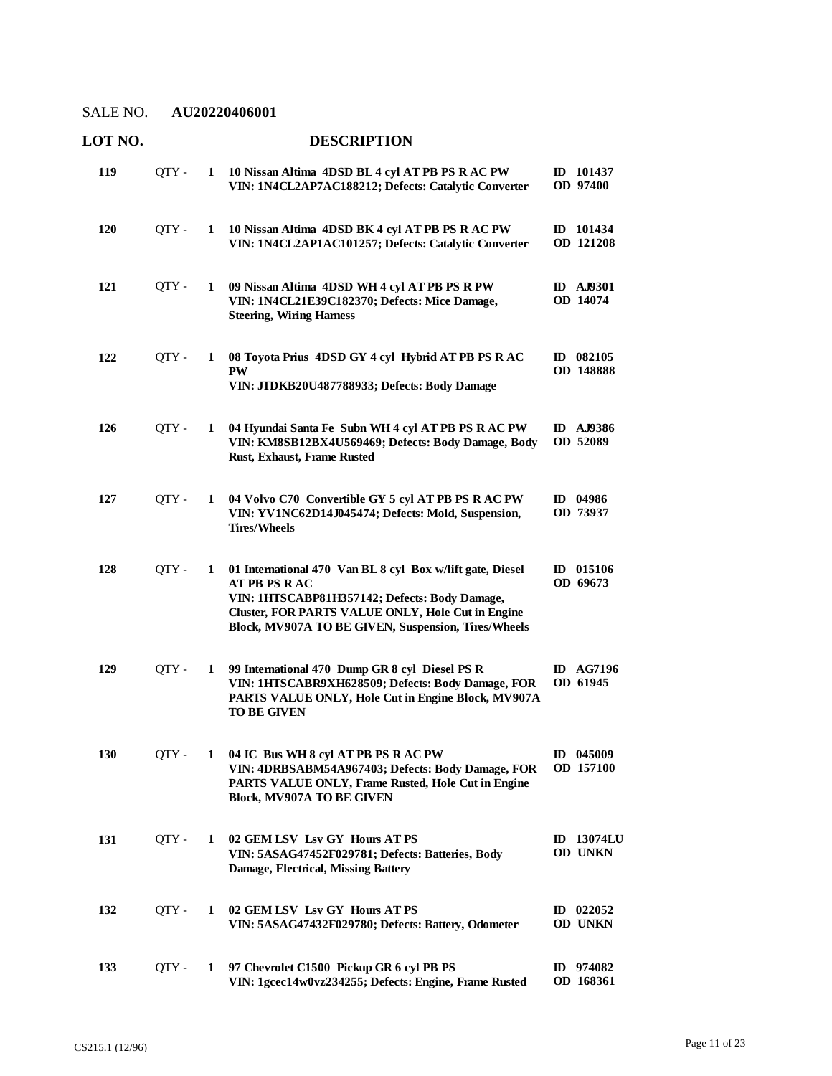| LOT NO. |       |   | <b>DESCRIPTION</b>                                                                                                                                                                                                                           |                               |
|---------|-------|---|----------------------------------------------------------------------------------------------------------------------------------------------------------------------------------------------------------------------------------------------|-------------------------------|
| 119     | QTY - | 1 | 10 Nissan Altima 4DSD BL 4 cyl AT PB PS R AC PW<br>VIN: 1N4CL2AP7AC188212; Defects: Catalytic Converter                                                                                                                                      | ID 101437<br><b>OD</b> 97400  |
| 120     | QTY - | 1 | 10 Nissan Altima 4DSD BK 4 cyl AT PB PS R AC PW<br>VIN: 1N4CL2AP1AC101257; Defects: Catalytic Converter                                                                                                                                      | ID 101434<br>OD 121208        |
| 121     | QTY - | 1 | 09 Nissan Altima 4DSD WH 4 cyl AT PB PS R PW<br>VIN: 1N4CL21E39C182370; Defects: Mice Damage,<br><b>Steering, Wiring Harness</b>                                                                                                             | <b>ID</b> AJ9301<br>OD 14074  |
| 122     | QTY - | 1 | 08 Toyota Prius 4DSD GY 4 cyl Hybrid AT PB PS R AC<br><b>PW</b><br>VIN: JTDKB20U487788933; Defects: Body Damage                                                                                                                              | ID 082105<br>OD 148888        |
| 126     | OTY - | 1 | 04 Hyundai Santa Fe Subn WH 4 cyl AT PB PS R AC PW<br>VIN: KM8SB12BX4U569469; Defects: Body Damage, Body<br>Rust, Exhaust, Frame Rusted                                                                                                      | <b>ID</b> AJ9386<br>OD 52089  |
| 127     | QTY-  | 1 | 04 Volvo C70 Convertible GY 5 cyl AT PB PS R AC PW<br>VIN: YV1NC62D14J045474; Defects: Mold, Suspension,<br><b>Tires/Wheels</b>                                                                                                              | ID 04986<br>OD 73937          |
| 128     | QTY-  | 1 | 01 International 470 Van BL 8 cyl Box w/lift gate, Diesel<br><b>ATPB PS RAC</b><br>VIN: 1HTSCABP81H357142; Defects: Body Damage,<br>Cluster, FOR PARTS VALUE ONLY, Hole Cut in Engine<br>Block, MV907A TO BE GIVEN, Suspension, Tires/Wheels | ID 015106<br>OD 69673         |
| 129     | QTY - | 1 | 99 International 470 Dump GR 8 cyl Diesel PS R<br>VIN: 1HTSCABR9XH628509; Defects: Body Damage, FOR<br>PARTS VALUE ONLY, Hole Cut in Engine Block, MV907A<br><b>TO BE GIVEN</b>                                                              | <b>ID</b> AG7196<br>OD 61945  |
| 130     | QTY - | 1 | 04 IC Bus WH 8 cyl AT PB PS R AC PW<br>VIN: 4DRBSABM54A967403; Defects: Body Damage, FOR<br>PARTS VALUE ONLY, Frame Rusted, Hole Cut in Engine<br><b>Block, MV907A TO BE GIVEN</b>                                                           | ID 045009<br>OD 157100        |
| 131     | QTY - | 1 | 02 GEM LSV Lsv GY Hours AT PS<br>VIN: 5ASAG47452F029781; Defects: Batteries, Body<br><b>Damage, Electrical, Missing Battery</b>                                                                                                              | <b>ID</b> 13074LU<br>OD UNKN  |
| 132     | QTY - | 1 | 02 GEM LSV Lsv GY Hours AT PS<br>VIN: 5ASAG47432F029780; Defects: Battery, Odometer                                                                                                                                                          | $ID$ 022052<br><b>OD UNKN</b> |
| 133     | QTY - | 1 | 97 Chevrolet C1500 Pickup GR 6 cyl PB PS<br>VIN: 1gcec14w0vz234255; Defects: Engine, Frame Rusted                                                                                                                                            | ID 974082<br>OD 168361        |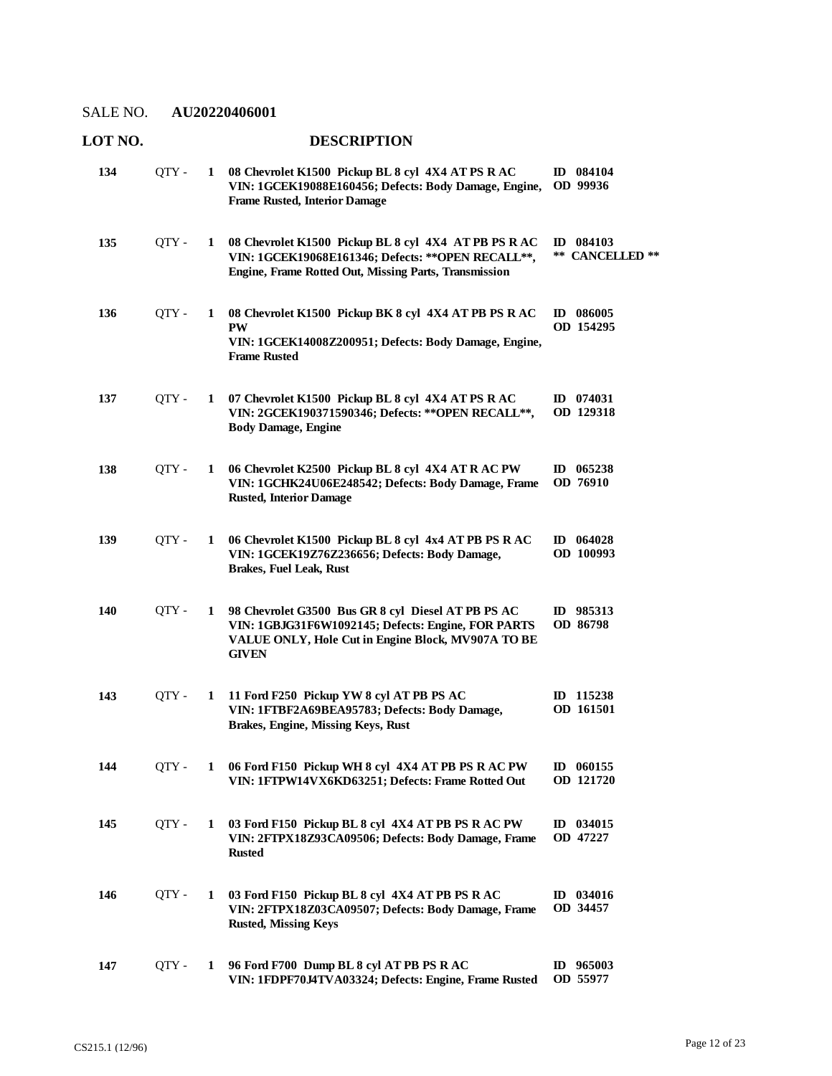# **LOT NO. DESCRIPTION**

| 134 | QTY - | $\mathbf{1}$ | 08 Chevrolet K1500 Pickup BL 8 cyl 4X4 AT PS R AC<br>VIN: 1GCEK19088E160456; Defects: Body Damage, Engine,<br><b>Frame Rusted, Interior Damage</b>                             | ID 084104<br>OD 99936        |
|-----|-------|--------------|--------------------------------------------------------------------------------------------------------------------------------------------------------------------------------|------------------------------|
| 135 | QTY - | 1            | 08 Chevrolet K1500 Pickup BL 8 cyl 4X4 AT PB PS R AC<br>VIN: 1GCEK19068E161346; Defects: ** OPEN RECALL **,<br>Engine, Frame Rotted Out, Missing Parts, Transmission           | ID 084103<br>** CANCELLED ** |
| 136 | QTY - | 1            | 08 Chevrolet K1500 Pickup BK 8 cyl 4X4 AT PB PS R AC<br><b>PW</b><br>VIN: 1GCEK14008Z200951; Defects: Body Damage, Engine,<br><b>Frame Rusted</b>                              | ID 086005<br>OD 154295       |
| 137 | QTY - | 1            | 07 Chevrolet K1500 Pickup BL 8 cyl 4X4 AT PS R AC<br>VIN: 2GCEK190371590346; Defects: ** OPEN RECALL **,<br><b>Body Damage, Engine</b>                                         | ID 074031<br>OD 129318       |
| 138 | QTY - | 1            | 06 Chevrolet K2500 Pickup BL 8 cyl 4X4 AT R AC PW<br>VIN: 1GCHK24U06E248542; Defects: Body Damage, Frame<br><b>Rusted, Interior Damage</b>                                     | ID 065238<br>OD 76910        |
| 139 | OTY - | 1            | 06 Chevrolet K1500 Pickup BL 8 cyl 4x4 AT PB PS R AC<br>VIN: 1GCEK19Z76Z236656; Defects: Body Damage,<br><b>Brakes, Fuel Leak, Rust</b>                                        | ID $064028$<br>OD 100993     |
| 140 | QTY - | 1            | 98 Chevrolet G3500 Bus GR 8 cyl Diesel AT PB PS AC<br>VIN: 1GBJG31F6W1092145; Defects: Engine, FOR PARTS<br>VALUE ONLY, Hole Cut in Engine Block, MV907A TO BE<br><b>GIVEN</b> | ID 985313<br>OD 86798        |
| 143 | QTY - | 1            | 11 Ford F250 Pickup YW 8 cyl AT PB PS AC<br>VIN: 1FTBF2A69BEA95783; Defects: Body Damage,<br><b>Brakes, Engine, Missing Keys, Rust</b>                                         | ID 115238<br>OD 161501       |
| 144 | QTY - |              | 06 Ford F150 Pickup WH 8 cyl 4X4 AT PB PS R AC PW<br>VIN: 1FTPW14VX6KD63251; Defects: Frame Rotted Out                                                                         | ID 060155<br>OD 121720       |
| 145 | QTY - | $\mathbf{1}$ | 03 Ford F150 Pickup BL 8 cyl 4X4 AT PB PS R AC PW<br>VIN: 2FTPX18Z93CA09506; Defects: Body Damage, Frame<br><b>Rusted</b>                                                      | ID 034015<br>OD 47227        |
| 146 | QTY - | $\mathbf{1}$ | 03 Ford F150 Pickup BL 8 cyl 4X4 AT PB PS R AC<br>VIN: 2FTPX18Z03CA09507; Defects: Body Damage, Frame<br><b>Rusted, Missing Keys</b>                                           | ID 034016<br>OD 34457        |
| 147 | QTY - | 1            | 96 Ford F700 Dump BL 8 cyl AT PB PS R AC<br>VIN: 1FDPF70J4TVA03324; Defects: Engine, Frame Rusted                                                                              | ID $965003$<br>OD 55977      |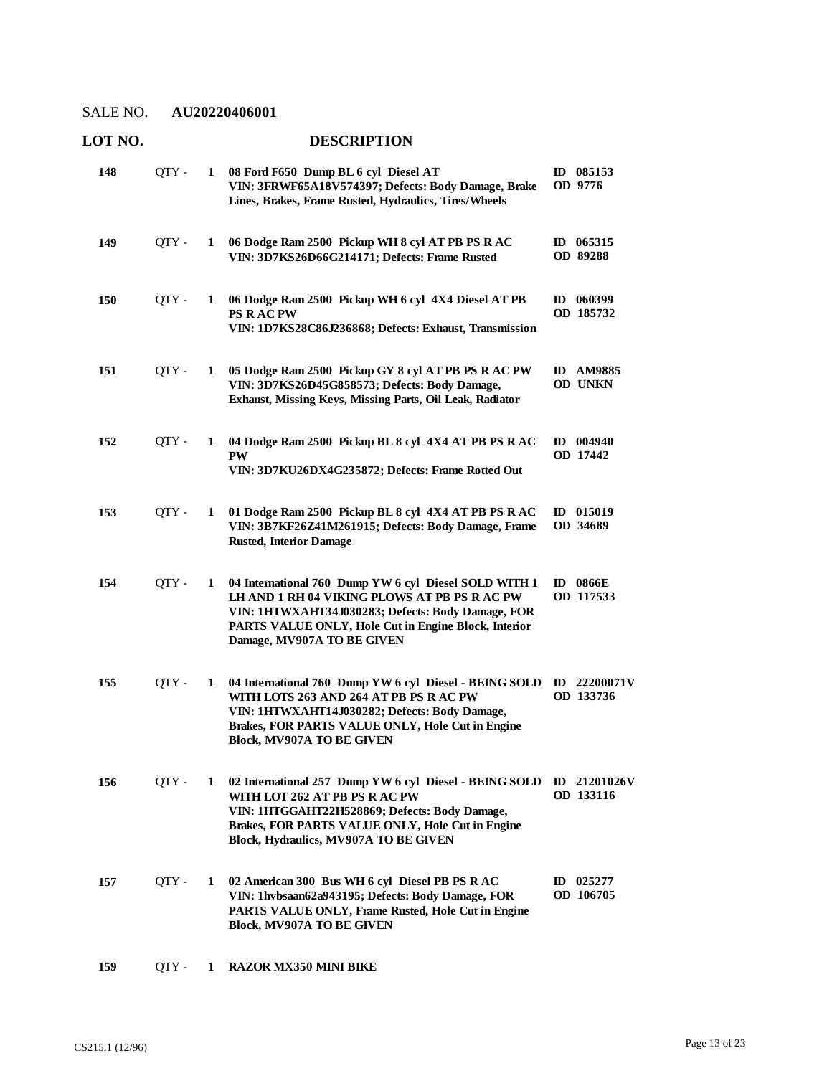# **LOT NO. DESCRIPTION**

| 148        | QTY - | 1 | 08 Ford F650 Dump BL 6 cyl Diesel AT<br>VIN: 3FRWF65A18V574397; Defects: Body Damage, Brake<br>Lines, Brakes, Frame Rusted, Hydraulics, Tires/Wheels                                                                                             | ID 085153<br>OD 9776                  |
|------------|-------|---|--------------------------------------------------------------------------------------------------------------------------------------------------------------------------------------------------------------------------------------------------|---------------------------------------|
| 149        | QTY - | 1 | 06 Dodge Ram 2500 Pickup WH 8 cyl AT PB PS R AC<br>VIN: 3D7KS26D66G214171; Defects: Frame Rusted                                                                                                                                                 | ID $065315$<br>OD 89288               |
| <b>150</b> | QTY - | 1 | 06 Dodge Ram 2500 Pickup WH 6 cyl 4X4 Diesel AT PB<br><b>PS RACPW</b><br>VIN: 1D7KS28C86J236868; Defects: Exhaust, Transmission                                                                                                                  | ID 060399<br>OD 185732                |
| 151        | QTY-  | 1 | 05 Dodge Ram 2500 Pickup GY 8 cyl AT PB PS R AC PW<br>VIN: 3D7KS26D45G858573; Defects: Body Damage,<br>Exhaust, Missing Keys, Missing Parts, Oil Leak, Radiator                                                                                  | <b>AM9885</b><br>ID<br><b>OD UNKN</b> |
| 152        | QTY-  | 1 | 04 Dodge Ram 2500 Pickup BL 8 cyl 4X4 AT PB PS R AC<br><b>PW</b><br>VIN: 3D7KU26DX4G235872; Defects: Frame Rotted Out                                                                                                                            | $ID$ 004940<br>OD 17442               |
| 153        | QTY-  | 1 | 01 Dodge Ram 2500 Pickup BL 8 cyl 4X4 AT PB PS R AC<br>VIN: 3B7KF26Z41M261915; Defects: Body Damage, Frame<br><b>Rusted, Interior Damage</b>                                                                                                     | ID 015019<br>OD 34689                 |
| 154        | QTY-  | 1 | 04 International 760 Dump YW 6 cyl Diesel SOLD WITH 1<br>LH AND 1 RH 04 VIKING PLOWS AT PB PS R AC PW<br>VIN: 1HTWXAHT34J030283; Defects: Body Damage, FOR<br>PARTS VALUE ONLY, Hole Cut in Engine Block, Interior<br>Damage, MV907A TO BE GIVEN | 0866E<br>$\mathbf{D}$<br>OD 117533    |
| 155        | QTY - | 1 | 04 International 760 Dump YW 6 cyl Diesel - BEING SOLD<br>WITH LOTS 263 AND 264 AT PB PS R AC PW<br>VIN: 1HTWXAHT14J030282; Defects: Body Damage,<br>Brakes, FOR PARTS VALUE ONLY, Hole Cut in Engine<br><b>Block, MV907A TO BE GIVEN</b>        | ID 22200071V<br>OD 133736             |
| 156        | QTY - | 1 | 02 International 257 Dump YW 6 cyl Diesel - BEING SOLD<br>WITH LOT 262 AT PB PS R AC PW<br>VIN: 1HTGGAHT22H528869; Defects: Body Damage,<br>Brakes, FOR PARTS VALUE ONLY, Hole Cut in Engine<br>Block, Hydraulics, MV907A TO BE GIVEN            | ID 21201026V<br>OD 133116             |
| 157        | QTY - | 1 | 02 American 300 Bus WH 6 cyl Diesel PB PS R AC<br>VIN: 1hvbsaan62a943195; Defects: Body Damage, FOR<br>PARTS VALUE ONLY, Frame Rusted, Hole Cut in Engine<br><b>Block, MV907A TO BE GIVEN</b>                                                    | $ID$ 025277<br>OD 106705              |
| 159        | QTY-  | 1 | <b>RAZOR MX350 MINI BIKE</b>                                                                                                                                                                                                                     |                                       |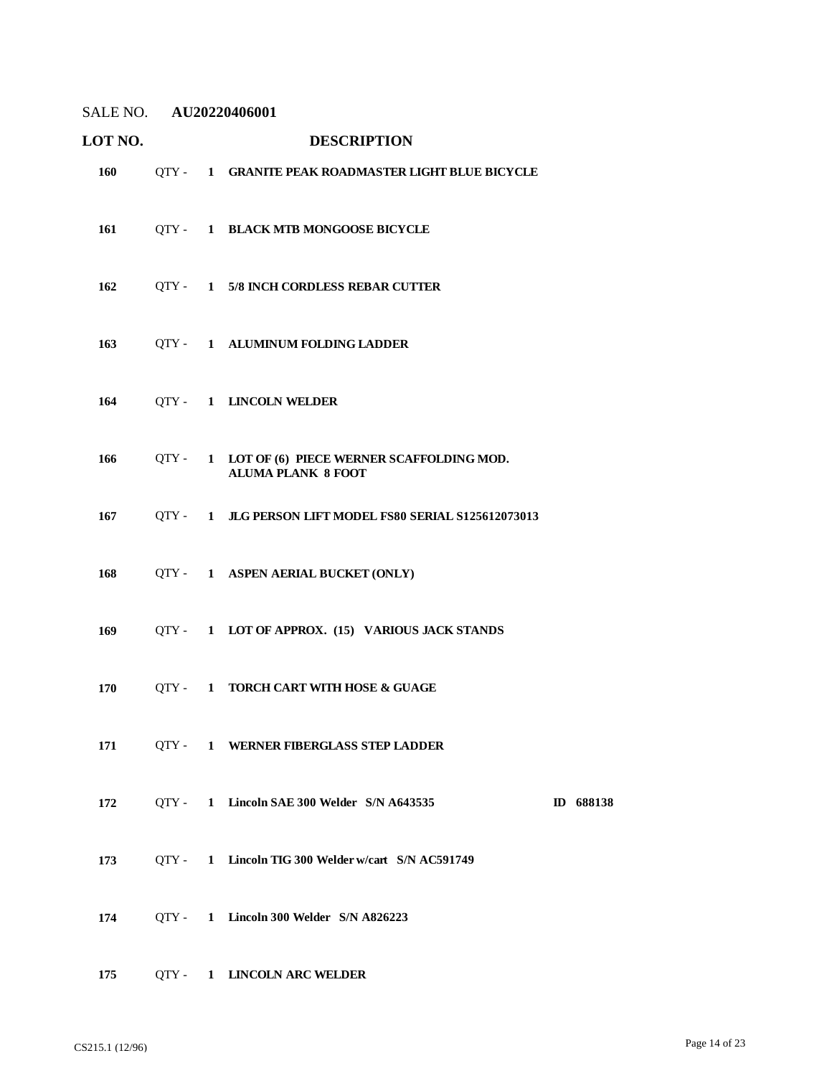# **LOT NO. DESCRIPTION** QTY - **1 GRANITE PEAK ROADMASTER LIGHT BLUE BICYCLE** QTY - **1 BLACK MTB MONGOOSE BICYCLE**

- QTY **1 5/8 INCH CORDLESS REBAR CUTTER**
- QTY **1 ALUMINUM FOLDING LADDER**
- QTY **1 LINCOLN WELDER**
- **LOT OF (6) PIECE WERNER SCAFFOLDING MOD. ALUMA PLANK 8 FOOT** QTY - **1**
- QTY **1 JLG PERSON LIFT MODEL FS80 SERIAL S125612073013**
- QTY **1 ASPEN AERIAL BUCKET (ONLY)**
- QTY **1 LOT OF APPROX. (15) VARIOUS JACK STANDS**
- QTY **1 TORCH CART WITH HOSE & GUAGE**
- QTY **1 WERNER FIBERGLASS STEP LADDER**
- QTY **1 Lincoln SAE 300 Welder S/N A643535 ID 688138**
- QTY **1 Lincoln TIG 300 Welder w/cart S/N AC591749**
- QTY **1 Lincoln 300 Welder S/N A826223**
- QTY **1 LINCOLN ARC WELDER**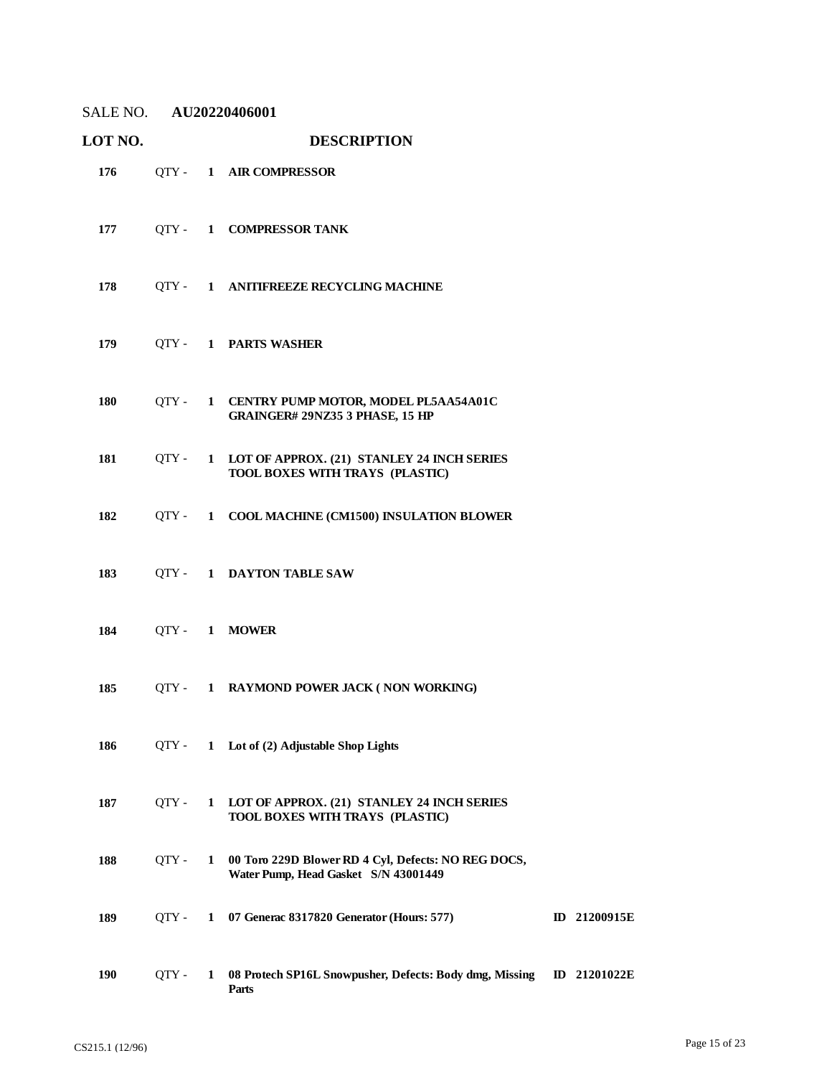| SALE NO. AU20220406001 |         |              |                                                                                             |                     |
|------------------------|---------|--------------|---------------------------------------------------------------------------------------------|---------------------|
| LOT NO.                |         |              | <b>DESCRIPTION</b>                                                                          |                     |
| 176                    |         |              | QTY- 1 AIR COMPRESSOR                                                                       |                     |
| 177                    |         |              | QTY- 1 COMPRESSOR TANK                                                                      |                     |
| 178                    |         |              | QTY - 1 ANITIFREEZE RECYCLING MACHINE                                                       |                     |
| 179                    |         |              | QTY- 1 PARTS WASHER                                                                         |                     |
| 180                    |         |              | QTY - 1 CENTRY PUMP MOTOR, MODEL PL5AA54A01C<br>GRAINGER# 29NZ35 3 PHASE, 15 HP             |                     |
| 181                    |         |              | QTY - 1 LOT OF APPROX. (21) STANLEY 24 INCH SERIES<br>TOOL BOXES WITH TRAYS (PLASTIC)       |                     |
| 182                    |         |              | QTY - 1 COOL MACHINE (CM1500) INSULATION BLOWER                                             |                     |
| 183                    |         |              | QTY- 1 DAYTON TABLE SAW                                                                     |                     |
| 184                    |         |              | OTY- 1 MOWER                                                                                |                     |
| 185                    |         |              | QTY - 1 RAYMOND POWER JACK (NON WORKING)                                                    |                     |
| 186                    | QTY -   |              | 1 Lot of (2) Adjustable Shop Lights                                                         |                     |
| 187                    | $QTY -$ | $\mathbf{1}$ | LOT OF APPROX. (21) STANLEY 24 INCH SERIES<br>TOOL BOXES WITH TRAYS (PLASTIC)               |                     |
| 188                    | QTY -   | $\mathbf{1}$ | 00 Toro 229D Blower RD 4 Cyl, Defects: NO REG DOCS,<br>Water Pump, Head Gasket S/N 43001449 |                     |
| 189                    | OTY -   |              | 1 07 Generac 8317820 Generator (Hours: 577)                                                 | <b>ID</b> 21200915E |
| 190                    | QTY -   | $\mathbf{1}$ | 08 Protech SP16L Snowpusher, Defects: Body dmg, Missing<br>Parts                            | <b>ID</b> 21201022E |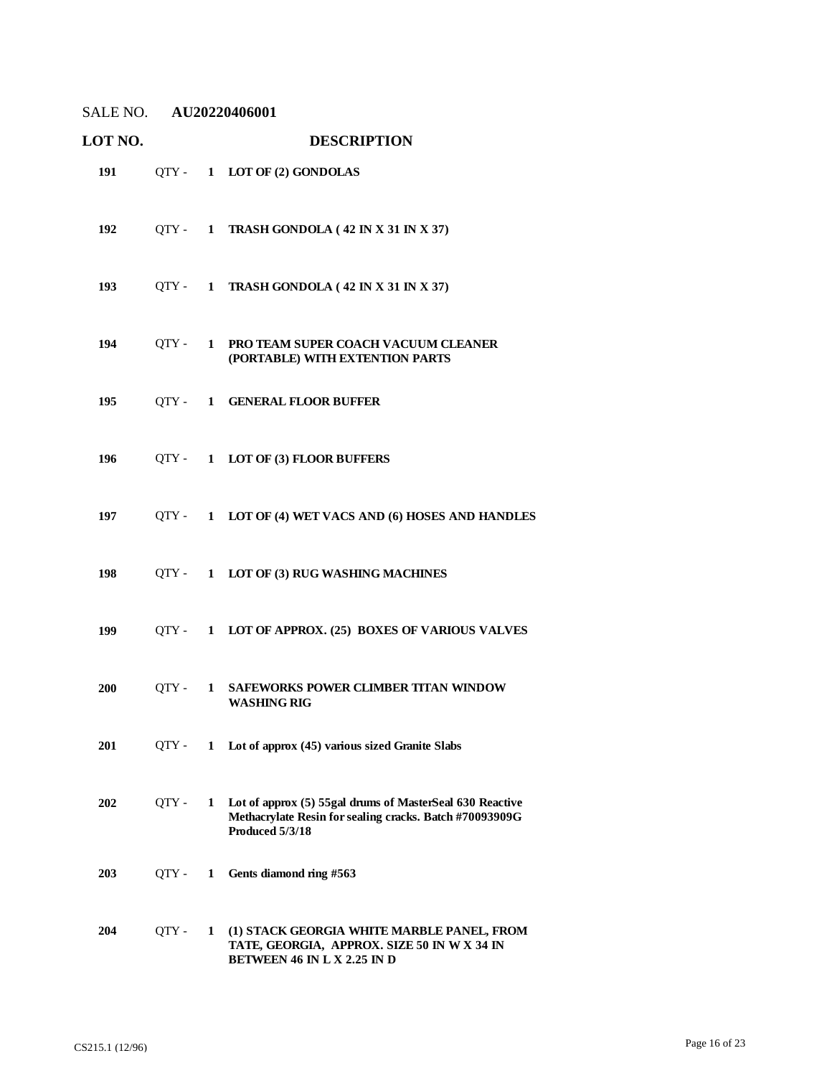| SALE NO. AU20220406001 |       |   |                                                                                                                                        |
|------------------------|-------|---|----------------------------------------------------------------------------------------------------------------------------------------|
| LOT NO.                |       |   | <b>DESCRIPTION</b>                                                                                                                     |
| 191                    |       |   | QTY- 1 LOT OF (2) GONDOLAS                                                                                                             |
| 192                    |       |   | $QTY - 1$ TRASH GONDOLA (42 IN X 31 IN X 37)                                                                                           |
| 193                    |       |   | $QTY - 1$ TRASH GONDOLA (42 IN X 31 IN X 37)                                                                                           |
| 194                    |       |   | QTY - 1 PRO TEAM SUPER COACH VACUUM CLEANER<br>(PORTABLE) WITH EXTENTION PARTS                                                         |
| 195                    |       |   | OTY - 1 GENERAL FLOOR BUFFER                                                                                                           |
| 196                    |       |   | QTY- 1 LOT OF (3) FLOOR BUFFERS                                                                                                        |
| 197                    |       |   | QTY - 1 LOT OF (4) WET VACS AND (6) HOSES AND HANDLES                                                                                  |
| 198                    |       |   | QTY - 1 LOT OF (3) RUG WASHING MACHINES                                                                                                |
| 199                    |       |   | QTY - 1 LOT OF APPROX. (25) BOXES OF VARIOUS VALVES                                                                                    |
| 200                    | OTY - |   | 1 SAFEWORKS POWER CLIMBER TITAN WINDOW<br><b>WASHING RIG</b>                                                                           |
| 201                    | QTY - |   | 1 Lot of approx (45) various sized Granite Slabs                                                                                       |
| 202                    | OTY - | 1 | Lot of approx (5) 55gal drums of MasterSeal 630 Reactive<br>Methacrylate Resin for sealing cracks. Batch #70093909G<br>Produced 5/3/18 |
| 203                    | QTY - | 1 | Gents diamond ring #563                                                                                                                |
| 204                    | QTY-  | 1 | (1) STACK GEORGIA WHITE MARBLE PANEL, FROM<br>TATE, GEORGIA, APPROX. SIZE 50 IN W X 34 IN<br><b>BETWEEN 46 IN L X 2.25 IN D</b>        |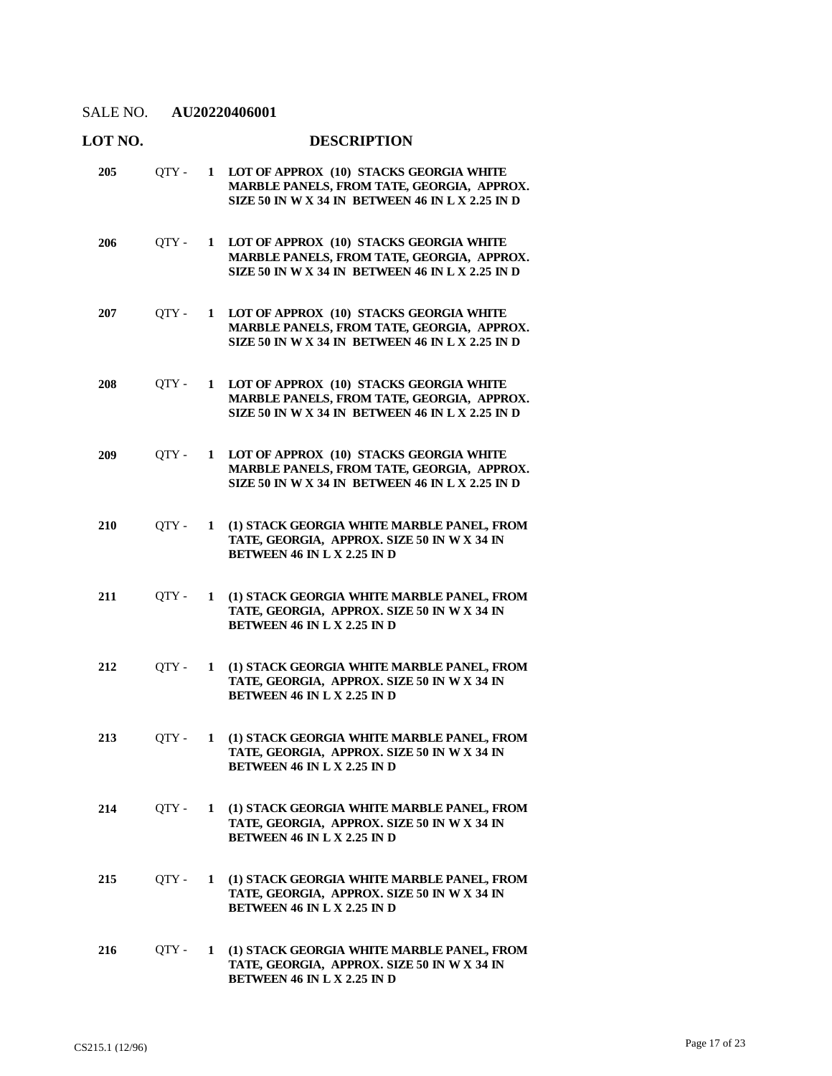| LOT NO.    |       |              | <b>DESCRIPTION</b>                                                                                                                        |
|------------|-------|--------------|-------------------------------------------------------------------------------------------------------------------------------------------|
| 205        | OTY - | $\mathbf{1}$ | LOT OF APPROX (10) STACKS GEORGIA WHITE<br>MARBLE PANELS, FROM TATE, GEORGIA, APPROX.<br>SIZE 50 IN W X 34 IN BETWEEN 46 IN L X 2.25 IN D |
| 206        | QTY - | 1            | LOT OF APPROX (10) STACKS GEORGIA WHITE<br>MARBLE PANELS, FROM TATE, GEORGIA, APPROX.<br>SIZE 50 IN W X 34 IN BETWEEN 46 IN L X 2.25 IN D |
| 207        | QTY - | 1            | LOT OF APPROX (10) STACKS GEORGIA WHITE<br>MARBLE PANELS, FROM TATE, GEORGIA, APPROX.<br>SIZE 50 IN W X 34 IN BETWEEN 46 IN L X 2.25 IN D |
| 208        | QTY - | 1            | LOT OF APPROX (10) STACKS GEORGIA WHITE<br>MARBLE PANELS, FROM TATE, GEORGIA, APPROX.<br>SIZE 50 IN W X 34 IN BETWEEN 46 IN L X 2.25 IN D |
| <b>209</b> | QTY - | $\mathbf{1}$ | LOT OF APPROX (10) STACKS GEORGIA WHITE<br>MARBLE PANELS, FROM TATE, GEORGIA, APPROX.<br>SIZE 50 IN W X 34 IN BETWEEN 46 IN L X 2.25 IN D |
| 210        | QTY - | 1            | (1) STACK GEORGIA WHITE MARBLE PANEL, FROM<br>TATE, GEORGIA, APPROX. SIZE 50 IN W X 34 IN<br><b>BETWEEN 46 IN L X 2.25 IN D</b>           |
| 211        | QTY - | 1            | (1) STACK GEORGIA WHITE MARBLE PANEL, FROM<br>TATE, GEORGIA, APPROX. SIZE 50 IN W X 34 IN<br><b>BETWEEN 46 IN L X 2.25 IN D</b>           |
| 212        | QTY - | $\mathbf{1}$ | (1) STACK GEORGIA WHITE MARBLE PANEL, FROM<br>TATE, GEORGIA, APPROX. SIZE 50 IN W X 34 IN<br><b>BETWEEN 46 IN L X 2.25 IN D</b>           |
| 213        | QTY - | $\mathbf{1}$ | (1) STACK GEORGIA WHITE MARBLE PANEL, FROM<br>TATE, GEORGIA, APPROX. SIZE 50 IN W X 34 IN<br><b>BETWEEN 46 IN L X 2.25 IN D</b>           |
| 214        | QTY - | $\mathbf{1}$ | (1) STACK GEORGIA WHITE MARBLE PANEL, FROM<br>TATE, GEORGIA, APPROX. SIZE 50 IN W X 34 IN<br><b>BETWEEN 46 IN L X 2.25 IN D</b>           |
| 215        | QTY - | $\mathbf{1}$ | (1) STACK GEORGIA WHITE MARBLE PANEL, FROM<br>TATE, GEORGIA, APPROX. SIZE 50 IN W X 34 IN<br>BETWEEN 46 IN L X 2.25 IN D                  |
| 216        | QTY - | 1            | (1) STACK GEORGIA WHITE MARBLE PANEL, FROM<br>TATE, GEORGIA, APPROX. SIZE 50 IN W X 34 IN<br>BETWEEN 46 IN L X 2.25 IN D                  |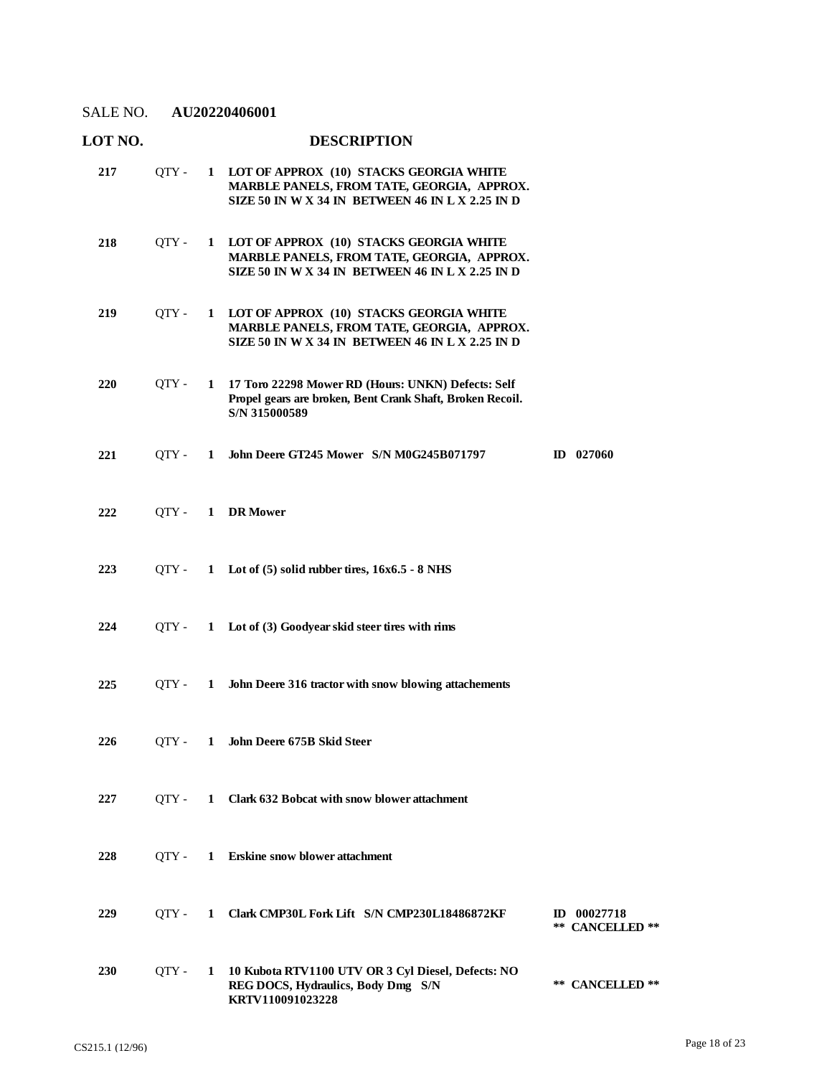| LOT NO.    |         |              | <b>DESCRIPTION</b>                                                                                                                          |                                |
|------------|---------|--------------|---------------------------------------------------------------------------------------------------------------------------------------------|--------------------------------|
| 217        | $QTY -$ |              | 1 LOT OF APPROX (10) STACKS GEORGIA WHITE<br>MARBLE PANELS, FROM TATE, GEORGIA, APPROX.<br>SIZE 50 IN W X 34 IN BETWEEN 46 IN L X 2.25 IN D |                                |
| 218        | QTY -   |              | 1 LOT OF APPROX (10) STACKS GEORGIA WHITE<br>MARBLE PANELS, FROM TATE, GEORGIA, APPROX.<br>SIZE 50 IN W X 34 IN BETWEEN 46 IN L X 2.25 IN D |                                |
| 219        | OTY -   |              | 1 LOT OF APPROX (10) STACKS GEORGIA WHITE<br>MARBLE PANELS, FROM TATE, GEORGIA, APPROX.<br>SIZE 50 IN W X 34 IN BETWEEN 46 IN L X 2.25 IN D |                                |
| 220        | QTY -   | $\mathbf{1}$ | 17 Toro 22298 Mower RD (Hours: UNKN) Defects: Self<br>Propel gears are broken, Bent Crank Shaft, Broken Recoil.<br>S/N 315000589            |                                |
| 221        | OTY -   | 1            | John Deere GT245 Mower S/N M0G245B071797                                                                                                    | $ID$ 027060                    |
| 222        | $QTY -$ |              | 1 DR Mower                                                                                                                                  |                                |
| 223        | OTY -   |              | 1 Lot of $(5)$ solid rubber tires, $16x6.5 - 8$ NHS                                                                                         |                                |
| 224        | OTY -   |              | 1 Lot of (3) Goodyear skid steer tires with rims                                                                                            |                                |
| 225        | OTY -   | $\mathbf{1}$ | John Deere 316 tractor with snow blowing attachements                                                                                       |                                |
| 226        | OTY -   |              | 1 John Deere 675B Skid Steer                                                                                                                |                                |
| 227        | OTY -   |              | 1 Clark 632 Bobcat with snow blower attachment                                                                                              |                                |
| 228        | OTY -   | $\mathbf{1}$ | <b>Erskine snow blower attachment</b>                                                                                                       |                                |
| 229        | OTY -   | 1            | Clark CMP30L Fork Lift S/N CMP230L18486872KF                                                                                                | ID 00027718<br>** CANCELLED ** |
| <b>230</b> | OTY -   | $\mathbf{1}$ | 10 Kubota RTV1100 UTV OR 3 Cyl Diesel, Defects: NO<br>REG DOCS, Hydraulics, Body Dmg S/N<br>KRTV110091023228                                | ** CANCELLED **                |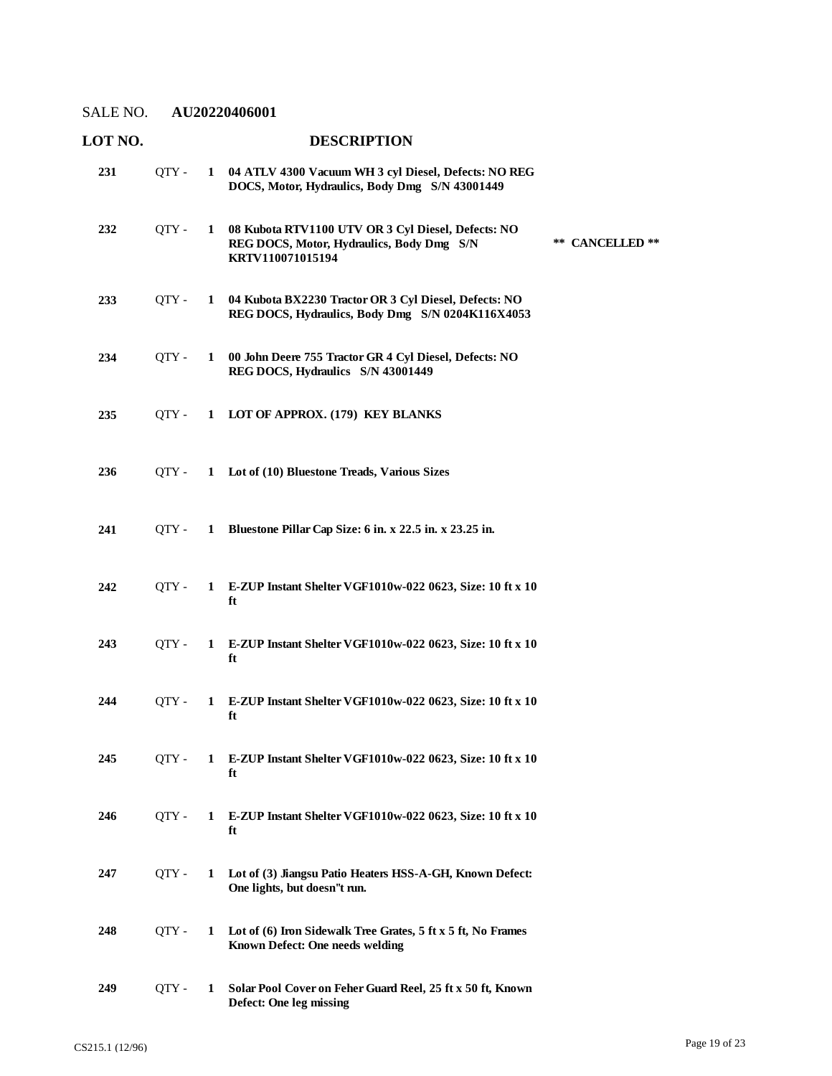| LOT NO. |       |              | <b>DESCRIPTION</b>                                                                                                                     |
|---------|-------|--------------|----------------------------------------------------------------------------------------------------------------------------------------|
| 231     | QTY - |              | 1 04 ATLV 4300 Vacuum WH 3 cyl Diesel, Defects: NOREG<br>DOCS, Motor, Hydraulics, Body Dmg S/N 43001449                                |
| 232     | QTY - | $\mathbf{1}$ | 08 Kubota RTV1100 UTV OR 3 Cyl Diesel, Defects: NO<br>** CANCELLED **<br>REG DOCS, Motor, Hydraulics, Body Dmg S/N<br>KRTV110071015194 |
| 233     | QTY - | $\mathbf{1}$ | 04 Kubota BX2230 Tractor OR 3 Cyl Diesel, Defects: NO<br>REG DOCS, Hydraulics, Body Dmg S/N 0204K116X4053                              |
| 234     | QTY - |              | 1 00 John Deere 755 Tractor GR 4 Cyl Diesel, Defects: NO<br>REG DOCS, Hydraulics S/N 43001449                                          |
| 235     | OTY - |              | 1 LOT OF APPROX. (179) KEY BLANKS                                                                                                      |
| 236     | OTY - |              | 1 Lot of (10) Bluestone Treads, Various Sizes                                                                                          |
| 241     | OTY - | $\mathbf{1}$ | Bluestone Pillar Cap Size: 6 in. x 22.5 in. x 23.25 in.                                                                                |
| 242     | QTY - |              | 1 E-ZUP Instant Shelter VGF1010w-022 0623, Size: 10 ft x 10<br>ft                                                                      |
| 243     | OTY - | $\mathbf{1}$ | E-ZUP Instant Shelter VGF1010w-022 0623, Size: 10 ft x 10<br>ft                                                                        |
| 244     | QTY - | $\mathbf{1}$ | E-ZUP Instant Shelter VGF1010w-022 0623, Size: 10 ft x 10<br>ft                                                                        |
| 245     | OTY - | $\mathbf{1}$ | E-ZUP Instant Shelter VGF1010w-022 0623, Size: 10 ft x 10<br>ft                                                                        |
| 246     | OTY - | 1            | E-ZUP Instant Shelter VGF1010w-022 0623, Size: 10 ft x 10<br>ft                                                                        |
| 247     | QTY - | 1            | Lot of (3) Jiangsu Patio Heaters HSS-A-GH, Known Defect:<br>One lights, but doesn"t run.                                               |
| 248     | OTY - | 1            | Lot of (6) Iron Sidewalk Tree Grates, 5 ft x 5 ft, No Frames<br><b>Known Defect: One needs welding</b>                                 |
| 249     | QTY - | 1            | Solar Pool Cover on Feher Guard Reel, 25 ft x 50 ft, Known<br>Defect: One leg missing                                                  |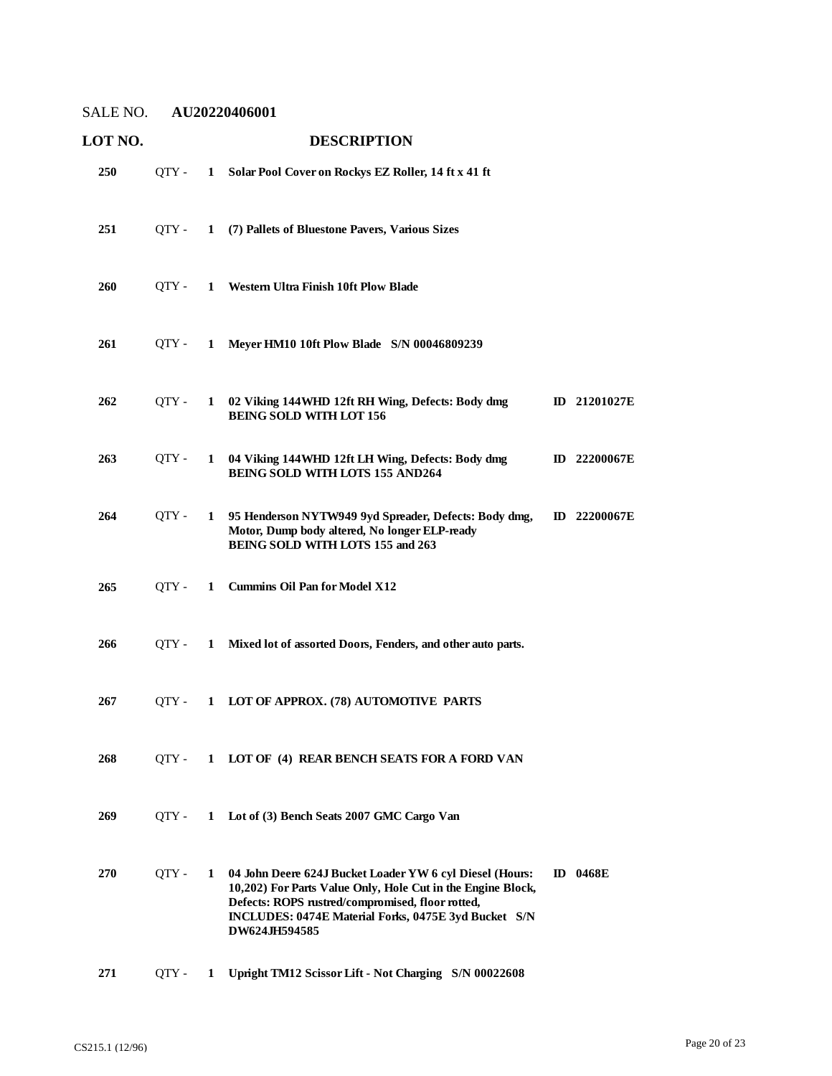| LOT NO. |       |              | <b>DESCRIPTION</b>                                                                                                                                                                                                                                   |    |              |
|---------|-------|--------------|------------------------------------------------------------------------------------------------------------------------------------------------------------------------------------------------------------------------------------------------------|----|--------------|
| 250     | QTY - |              | 1 Solar Pool Cover on Rockys EZ Roller, 14 ft x 41 ft                                                                                                                                                                                                |    |              |
| 251     | OTY - | $\mathbf{1}$ | (7) Pallets of Bluestone Pavers, Various Sizes                                                                                                                                                                                                       |    |              |
| 260     | QTY - |              | 1 Western Ultra Finish 10ft Plow Blade                                                                                                                                                                                                               |    |              |
| 261     | OTY - | $\mathbf{1}$ | Meyer HM10 10ft Plow Blade S/N 00046809239                                                                                                                                                                                                           |    |              |
| 262     | OTY - | 1            | 02 Viking 144WHD 12ft RH Wing, Defects: Body dmg<br><b>BEING SOLD WITH LOT 156</b>                                                                                                                                                                   |    | ID 21201027E |
| 263     | QTY - | 1            | 04 Viking 144WHD 12ft LH Wing, Defects: Body dmg<br><b>BEING SOLD WITH LOTS 155 AND264</b>                                                                                                                                                           |    | ID 22200067E |
| 264     | OTY - | 1            | 95 Henderson NYTW949 9yd Spreader, Defects: Body dmg,<br>Motor, Dump body altered, No longer ELP-ready<br>BEING SOLD WITH LOTS 155 and 263                                                                                                           |    | ID 22200067E |
| 265     | QTY - | 1            | <b>Cummins Oil Pan for Model X12</b>                                                                                                                                                                                                                 |    |              |
| 266     | OTY - | $\mathbf{1}$ | Mixed lot of assorted Doors, Fenders, and other auto parts.                                                                                                                                                                                          |    |              |
| 267     | QTY - |              | 1 LOT OF APPROX. (78) AUTOMOTIVE PARTS                                                                                                                                                                                                               |    |              |
| 268     | QTY - |              | 1 LOT OF (4) REAR BENCH SEATS FOR A FORD VAN                                                                                                                                                                                                         |    |              |
| 269     | QTY - | $\mathbf{1}$ | Lot of (3) Bench Seats 2007 GMC Cargo Van                                                                                                                                                                                                            |    |              |
| 270     | OTY - | 1            | 04 John Deere 624J Bucket Loader YW 6 cyl Diesel (Hours:<br>10,202) For Parts Value Only, Hole Cut in the Engine Block,<br>Defects: ROPS rustred/compromised, floor rotted,<br>INCLUDES: 0474E Material Forks, 0475E 3yd Bucket S/N<br>DW624JH594585 | ID | 0468E        |
| 271     | QTY - | 1            | Upright TM12 Scissor Lift - Not Charging S/N 00022608                                                                                                                                                                                                |    |              |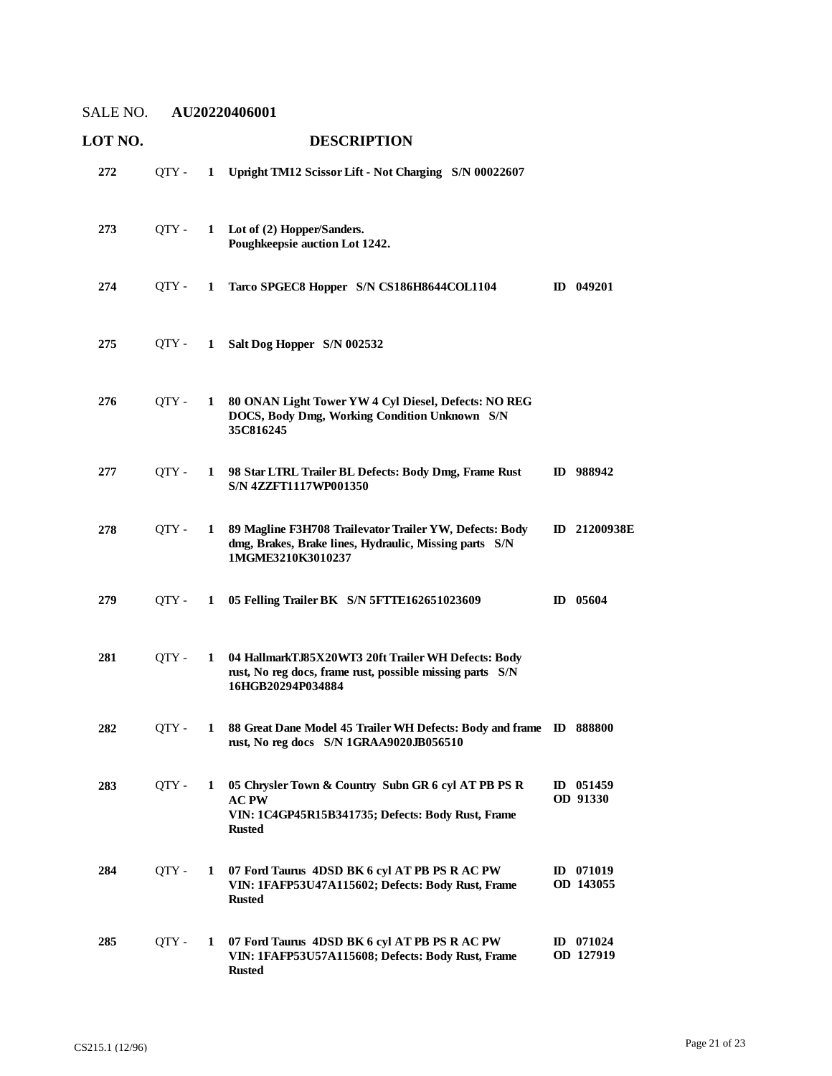| <b>LOT NO.</b> |       |              | <b>DESCRIPTION</b>                                                                                                                        |                          |
|----------------|-------|--------------|-------------------------------------------------------------------------------------------------------------------------------------------|--------------------------|
| 272            | QTY - | $\mathbf{1}$ | Upright TM12 Scissor Lift - Not Charging S/N 00022607                                                                                     |                          |
| 273            | OTY - | $\mathbf{1}$ | Lot of (2) Hopper/Sanders.<br>Poughkeepsie auction Lot 1242.                                                                              |                          |
| 274            | QTY - | 1            | Tarco SPGEC8 Hopper S/N CS186H8644COL1104                                                                                                 | ID 049201                |
| 275            | OTY - | $\mathbf{1}$ | Salt Dog Hopper S/N 002532                                                                                                                |                          |
| 276            | OTY - | 1            | 80 ONAN Light Tower YW 4 Cyl Diesel, Defects: NO REG<br>DOCS, Body Dmg, Working Condition Unknown S/N<br>35C816245                        |                          |
| 277            | OTY - | 1            | 98 Star LTRL Trailer BL Defects: Body Dmg, Frame Rust<br>S/N 4ZZFT1117WP001350                                                            | ID 988942                |
| 278            | OTY - | $\mathbf{1}$ | 89 Magline F3H708 Trailevator Trailer YW, Defects: Body<br>dmg, Brakes, Brake lines, Hydraulic, Missing parts S/N<br>1MGME3210K3010237    | ID 21200938E             |
| 279            | OTY - | 1            | 05 Felling Trailer BK S/N 5FTTE162651023609                                                                                               | $ID$ 05604               |
| 281            | OTY - | 1            | 04 HallmarkTJ85X20WT3 20ft Trailer WH Defects: Body<br>rust, No reg docs, frame rust, possible missing parts S/N<br>16HGB20294P034884     |                          |
| 282            | OTY - | 1            | 88 Great Dane Model 45 Trailer WH Defects: Body and frame ID 888800<br>rust, No reg docs S/N 1GRAA9020JB056510                            |                          |
| 283            | QTY - | $\mathbf{1}$ | 05 Chrysler Town & Country Subn GR 6 cyl AT PB PS R<br><b>AC PW</b><br>VIN: 1C4GP45R15B341735; Defects: Body Rust, Frame<br><b>Rusted</b> | ID 051459<br>OD 91330    |
| 284            | QTY - | $\mathbf{1}$ | 07 Ford Taurus 4DSD BK 6 cyl AT PB PS R AC PW<br>VIN: 1FAFP53U47A115602; Defects: Body Rust, Frame<br><b>Rusted</b>                       | ID 071019<br>OD 143055   |
| 285            | QTY - | 1            | 07 Ford Taurus 4DSD BK 6 cyl AT PB PS R AC PW<br>VIN: 1FAFP53U57A115608; Defects: Body Rust, Frame<br><b>Rusted</b>                       | $ID$ 071024<br>OD 127919 |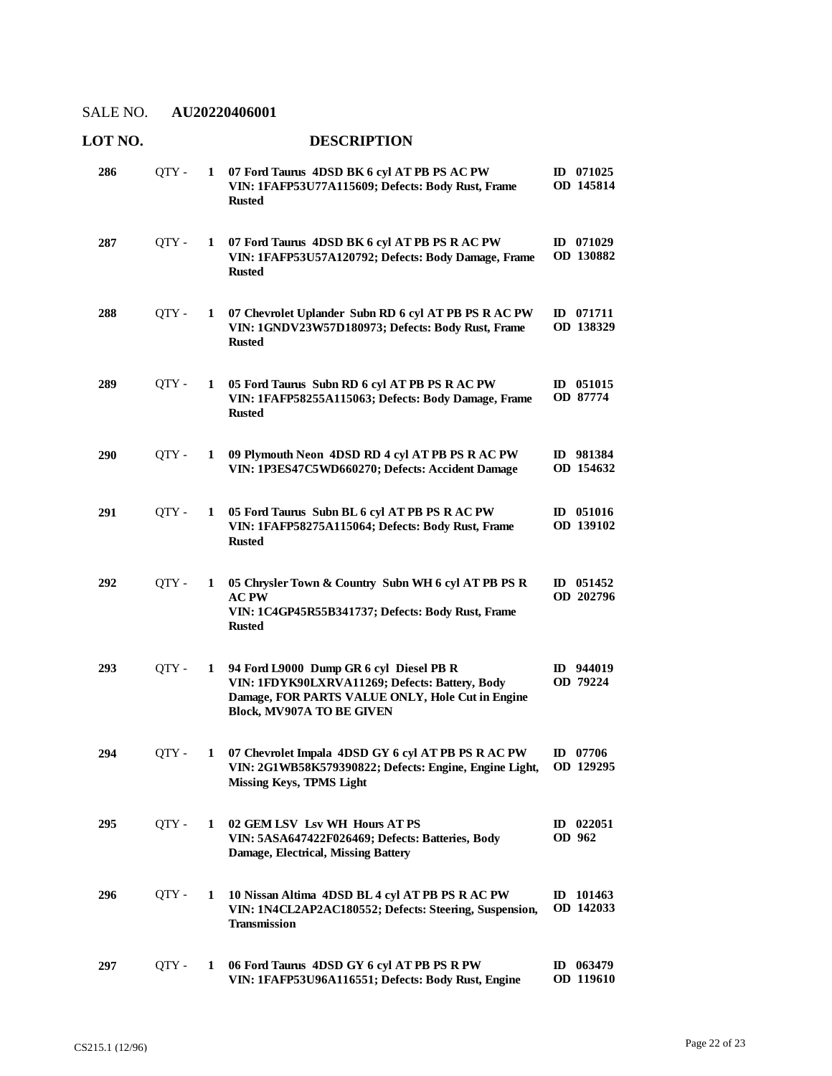| LOT NO. |       |   | <b>DESCRIPTION</b>                                                                                                                                                                |                          |
|---------|-------|---|-----------------------------------------------------------------------------------------------------------------------------------------------------------------------------------|--------------------------|
| 286     | QTY - | 1 | 07 Ford Taurus 4DSD BK 6 cyl AT PB PS AC PW<br>VIN: 1FAFP53U77A115609; Defects: Body Rust, Frame<br><b>Rusted</b>                                                                 | ID 071025<br>OD 145814   |
| 287     | QTY - | 1 | 07 Ford Taurus 4DSD BK 6 cyl AT PB PS R AC PW<br>VIN: 1FAFP53U57A120792; Defects: Body Damage, Frame<br><b>Rusted</b>                                                             | ID $071029$<br>OD 130882 |
| 288     | QTY - | 1 | 07 Chevrolet Uplander Subn RD 6 cyl AT PB PS R AC PW<br>VIN: 1GNDV23W57D180973; Defects: Body Rust, Frame<br><b>Rusted</b>                                                        | $ID$ 071711<br>OD 138329 |
| 289     | QTY - | 1 | 05 Ford Taurus Subn RD 6 cyl AT PB PS R AC PW<br>VIN: 1FAFP58255A115063; Defects: Body Damage, Frame<br><b>Rusted</b>                                                             | ID 051015<br>OD 87774    |
| 290     | QTY - | 1 | 09 Plymouth Neon 4DSD RD 4 cyl AT PB PS R AC PW<br>VIN: 1P3ES47C5WD660270; Defects: Accident Damage                                                                               | ID 981384<br>OD 154632   |
| 291     | OTY - | 1 | 05 Ford Taurus Subn BL 6 cyl AT PB PS R AC PW<br>VIN: 1FAFP58275A115064; Defects: Body Rust, Frame<br><b>Rusted</b>                                                               | ID 051016<br>OD 139102   |
| 292     | QTY - | 1 | 05 Chrysler Town & Country Subn WH 6 cyl AT PB PS R<br><b>AC PW</b><br>VIN: 1C4GP45R55B341737; Defects: Body Rust, Frame<br><b>Rusted</b>                                         | ID 051452<br>OD 202796   |
| 293     | OTY - | 1 | 94 Ford L9000 Dump GR 6 cyl Diesel PB R<br>VIN: 1FDYK90LXRVA11269; Defects: Battery, Body<br>Damage, FOR PARTS VALUE ONLY, Hole Cut in Engine<br><b>Block, MV907A TO BE GIVEN</b> | ID 944019<br>OD 79224    |
| 294     | QTY - | 1 | 07 Chevrolet Impala 4DSD GY 6 cyl AT PB PS R AC PW<br>VIN: 2G1WB58K579390822; Defects: Engine, Engine Light,<br><b>Missing Keys, TPMS Light</b>                                   | ID $07706$<br>OD 129295  |
| 295     | OTY - | 1 | 02 GEM LSV Lsv WH Hours AT PS<br>VIN: 5ASA647422F026469; Defects: Batteries, Body<br>Damage, Electrical, Missing Battery                                                          | ID $022051$<br>OD 962    |
| 296     | QTY - | 1 | 10 Nissan Altima 4DSD BL 4 cyl AT PB PS R AC PW<br>VIN: 1N4CL2AP2AC180552; Defects: Steering, Suspension,<br><b>Transmission</b>                                                  | ID $101463$<br>OD 142033 |
| 297     | QTY - | 1 | 06 Ford Taurus 4DSD GY 6 cyl AT PB PS R PW<br>VIN: 1FAFP53U96A116551; Defects: Body Rust, Engine                                                                                  | ID $063479$<br>OD 119610 |